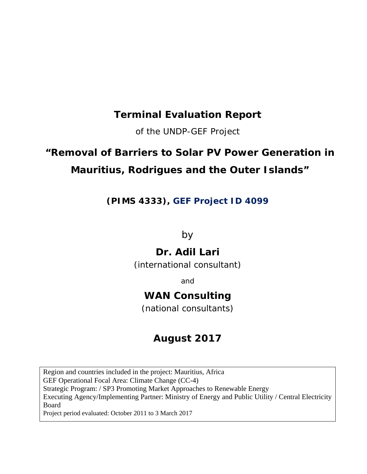## **Terminal Evaluation Report**

of the UNDP-GEF Project

# **"Removal of Barriers to Solar PV Power Generation in Mauritius, Rodrigues and the Outer Islands"**

*(PIMS 4333), GEF Project ID 4099*

by

## **Dr. Adil Lari**

(international consultant)

and

## **WAN Consulting**

(national consultants)

## **August 2017**

Region and countries included in the project: Mauritius, Africa GEF Operational Focal Area: Climate Change (CC-4) Strategic Program: / SP3 Promoting Market Approaches to Renewable Energy Executing Agency/Implementing Partner: Ministry of Energy and Public Utility / Central Electricity Board Project period evaluated: October 2011 to 3 March 2017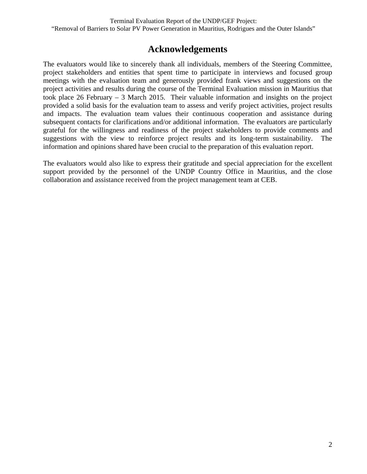### **Acknowledgements**

The evaluators would like to sincerely thank all individuals, members of the Steering Committee, project stakeholders and entities that spent time to participate in interviews and focused group meetings with the evaluation team and generously provided frank views and suggestions on the project activities and results during the course of the Terminal Evaluation mission in Mauritius that took place 26 February – 3 March 2015. Their valuable information and insights on the project provided a solid basis for the evaluation team to assess and verify project activities, project results and impacts. The evaluation team values their continuous cooperation and assistance during subsequent contacts for clarifications and/or additional information. The evaluators are particularly grateful for the willingness and readiness of the project stakeholders to provide comments and suggestions with the view to reinforce project results and its long-term sustainability. The information and opinions shared have been crucial to the preparation of this evaluation report.

The evaluators would also like to express their gratitude and special appreciation for the excellent support provided by the personnel of the UNDP Country Office in Mauritius, and the close collaboration and assistance received from the project management team at CEB.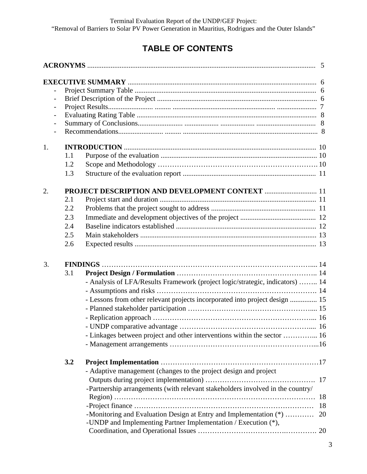# **TABLE OF CONTENTS**

| $\overline{\phantom{0}}$ |     |                                                                                                                                     |    |
|--------------------------|-----|-------------------------------------------------------------------------------------------------------------------------------------|----|
|                          |     |                                                                                                                                     |    |
|                          |     |                                                                                                                                     |    |
|                          |     |                                                                                                                                     |    |
| 1.                       |     |                                                                                                                                     |    |
|                          | 1.1 |                                                                                                                                     |    |
|                          | 1.2 |                                                                                                                                     |    |
|                          | 1.3 |                                                                                                                                     |    |
| 2.                       |     | PROJECT DESCRIPTION AND DEVELOPMENT CONTEXT  11                                                                                     |    |
|                          | 2.1 |                                                                                                                                     |    |
|                          | 2.2 |                                                                                                                                     |    |
|                          | 2.3 |                                                                                                                                     |    |
|                          | 2.4 |                                                                                                                                     |    |
|                          | 2.5 |                                                                                                                                     |    |
|                          | 2.6 |                                                                                                                                     |    |
| 3.                       |     |                                                                                                                                     |    |
|                          | 3.1 |                                                                                                                                     |    |
|                          |     | - Analysis of LFA/Results Framework (project logic/strategic, indicators)  14                                                       |    |
|                          |     |                                                                                                                                     |    |
|                          |     | - Lessons from other relevant projects incorporated into project design  15                                                         |    |
|                          |     |                                                                                                                                     |    |
|                          |     |                                                                                                                                     |    |
|                          |     | - UNDP comparative advantage.                                                                                                       |    |
|                          |     | - Linkages between project and other interventions within the sector  16                                                            |    |
|                          |     |                                                                                                                                     |    |
|                          |     |                                                                                                                                     |    |
|                          | 3.2 |                                                                                                                                     |    |
|                          |     | - Adaptive management (changes to the project design and project                                                                    |    |
|                          |     |                                                                                                                                     |    |
|                          |     | -Partnership arrangements (with relevant stakeholders involved in the country/                                                      |    |
|                          |     |                                                                                                                                     | 18 |
|                          |     |                                                                                                                                     | 18 |
|                          |     | -Monitoring and Evaluation Design at Entry and Implementation (*)<br>-UNDP and Implementing Partner Implementation / Execution (*), | 20 |
|                          |     |                                                                                                                                     |    |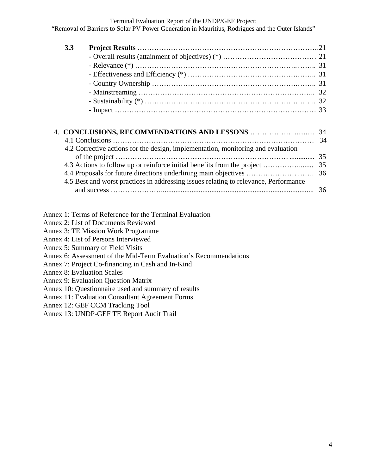"Removal of Barriers to Solar PV Power Generation in Mauritius, Rodrigues and the Outer Islands"

| 3.3 |                                                                                                                                                                 |    |
|-----|-----------------------------------------------------------------------------------------------------------------------------------------------------------------|----|
|     |                                                                                                                                                                 |    |
|     |                                                                                                                                                                 |    |
|     |                                                                                                                                                                 |    |
|     |                                                                                                                                                                 |    |
|     |                                                                                                                                                                 |    |
|     |                                                                                                                                                                 |    |
|     |                                                                                                                                                                 |    |
|     |                                                                                                                                                                 |    |
|     |                                                                                                                                                                 |    |
|     | 4.2 Corrective actions for the design, implementation, monitoring and evaluation                                                                                | 34 |
|     |                                                                                                                                                                 | 35 |
|     | 4.3 Actions to follow up or reinforce initial benefits from the project<br>4.5 Best and worst practices in addressing issues relating to relevance, Performance | 35 |

- Annex 1: Terms of Reference for the Terminal Evaluation
- Annex 2: List of Documents Reviewed
- Annex 3: TE Mission Work Programme
- Annex 4: List of Persons Interviewed
- Annex 5: Summary of Field Visits
- Annex 6: Assessment of the Mid-Term Evaluation's Recommendations
- Annex 7: Project Co-financing in Cash and In-Kind
- Annex 8: Evaluation Scales
- Annex 9: Evaluation Question Matrix
- Annex 10: Questionnaire used and summary of results
- Annex 11: Evaluation Consultant Agreement Forms
- Annex 12: GEF CCM Tracking Tool
- Annex 13: UNDP-GEF TE Report Audit Trail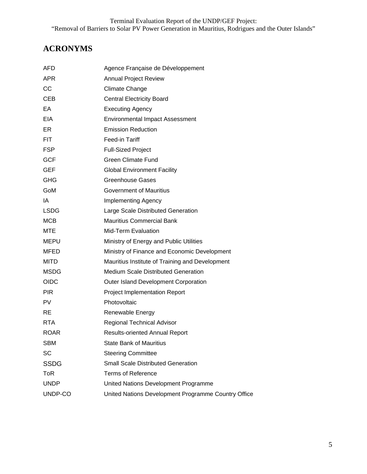## **ACRONYMS**

| AFD         | Agence Française de Développement                   |
|-------------|-----------------------------------------------------|
| <b>APR</b>  | <b>Annual Project Review</b>                        |
| CC          | <b>Climate Change</b>                               |
| <b>CEB</b>  | <b>Central Electricity Board</b>                    |
| EA          | <b>Executing Agency</b>                             |
| EIA         | <b>Environmental Impact Assessment</b>              |
| ER          | <b>Emission Reduction</b>                           |
| FIT.        | Feed-in Tariff                                      |
| <b>FSP</b>  | <b>Full-Sized Project</b>                           |
| <b>GCF</b>  | <b>Green Climate Fund</b>                           |
| <b>GEF</b>  | <b>Global Environment Facility</b>                  |
| <b>GHG</b>  | <b>Greenhouse Gases</b>                             |
| GoM         | <b>Government of Mauritius</b>                      |
| IA          | <b>Implementing Agency</b>                          |
| <b>LSDG</b> | Large Scale Distributed Generation                  |
| <b>MCB</b>  | <b>Mauritius Commercial Bank</b>                    |
| <b>MTE</b>  | <b>Mid-Term Evaluation</b>                          |
| MEPU        | Ministry of Energy and Public Utilities             |
| <b>MFED</b> | Ministry of Finance and Economic Development        |
| <b>MITD</b> | Mauritius Institute of Training and Development     |
| <b>MSDG</b> | <b>Medium Scale Distributed Generation</b>          |
| <b>OIDC</b> | Outer Island Development Corporation                |
| <b>PIR</b>  | <b>Project Implementation Report</b>                |
| PV          | Photovoltaic                                        |
| <b>RE</b>   | Renewable Energy                                    |
| <b>RTA</b>  | <b>Regional Technical Advisor</b>                   |
| <b>ROAR</b> | <b>Results-oriented Annual Report</b>               |
| <b>SBM</b>  | <b>State Bank of Mauritius</b>                      |
| SC          | <b>Steering Committee</b>                           |
| <b>SSDG</b> | <b>Small Scale Distributed Generation</b>           |
| <b>ToR</b>  | <b>Terms of Reference</b>                           |
| <b>UNDP</b> | United Nations Development Programme                |
| UNDP-CO     | United Nations Development Programme Country Office |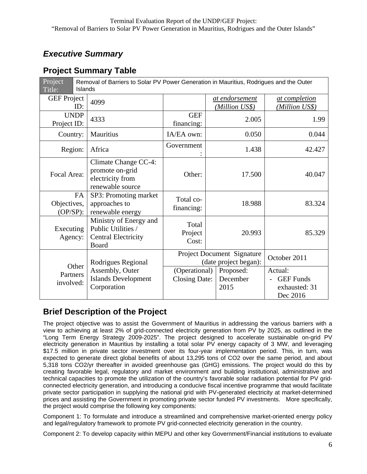## *Executive Summary*

### **Project Summary Table**

| Project<br>Title:              |           | Removal of Barriers to Solar PV Power Generation in Mauritius, Rodrigues and the Outer<br>Islands |                                       |  |                                                     |                                                          |  |  |
|--------------------------------|-----------|---------------------------------------------------------------------------------------------------|---------------------------------------|--|-----------------------------------------------------|----------------------------------------------------------|--|--|
| <b>GEF Project</b>             | ID:       | 4099                                                                                              |                                       |  | at endorsement<br>(Million US\$)                    | at completion<br>(Million US\$)                          |  |  |
| <b>UNDP</b><br>Project ID:     |           | 4333                                                                                              | <b>GEF</b><br>financing:              |  | 2.005                                               | 1.99                                                     |  |  |
| Country:                       |           | Mauritius                                                                                         | IA/EA own:                            |  | 0.050                                               | 0.044                                                    |  |  |
| Region:                        |           | Africa                                                                                            | Government                            |  | 1.438                                               | 42.427                                                   |  |  |
| Focal Area:                    |           | Climate Change CC-4:<br>promote on-grid<br>electricity from<br>renewable source                   | Other:                                |  | 17.500                                              | 40.047                                                   |  |  |
| Objectives,<br>$(OP/SP)$ :     | <b>FA</b> | SP3: Promoting market<br>approaches to<br>renewable energy                                        | Total co-<br>financing:               |  | 18.988                                              | 83.324                                                   |  |  |
| Executing<br>Agency:           |           | Ministry of Energy and<br>Public Utilities /<br><b>Central Electricity</b><br>Board               | Total<br>Project<br>Cost:             |  | 20.993                                              | 85.329                                                   |  |  |
| Other<br>Partners<br>involved: |           | Rodrigues Regional                                                                                |                                       |  | Project Document Signature<br>(date project began): | October 2011                                             |  |  |
|                                |           | Assembly, Outer<br><b>Islands Development</b><br>Corporation                                      | (Operational)<br><b>Closing Date:</b> |  | Proposed:<br>December<br>2015                       | Actual:<br><b>GEF</b> Funds<br>exhausted: 31<br>Dec 2016 |  |  |

### **Brief Description of the Project**

The project objective was to assist the Government of Mauritius in addressing the various barriers with a view to achieving at least 2% of grid-connected electricity generation from PV by 2025, as outlined in the "Long Term Energy Strategy 2009-2025". The project designed to accelerate sustainable on-grid PV electricity generation in Mauritius by installing a total solar PV energy capacity of 3 MW, and leveraging \$17.5 million in private sector investment over its four-year implementation period. This, in turn, was expected to generate direct global benefits of about 13,295 tons of CO2 over the same period, and about 5,318 tons CO2/yr thereafter in avoided greenhouse gas (GHG) emissions. The project would do this by creating favorable legal, regulatory and market environment and building institutional, administrative and technical capacities to promote the utilization of the country's favorable solar radiation potential for PV gridconnected electricity generation, and introducing a conducive fiscal incentive programme that would facilitate private sector participation in supplying the national grid with PV-generated electricity at market-determined prices and assisting the Government in promoting private sector funded PV investments. More specifically, the project would comprise the following key components:

Component 1: To formulate and introduce a streamlined and comprehensive market-oriented energy policy and legal/regulatory framework to promote PV grid-connected electricity generation in the country.

Component 2: To develop capacity within MEPU and other key Government/Financial institutions to evaluate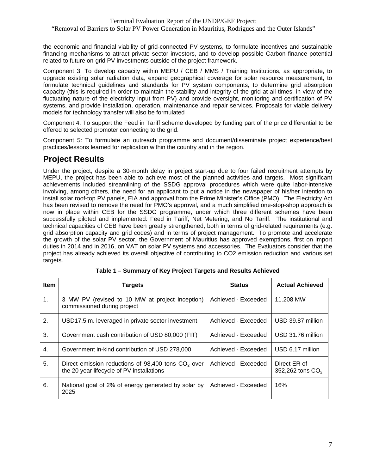"Removal of Barriers to Solar PV Power Generation in Mauritius, Rodrigues and the Outer Islands"

the economic and financial viability of grid-connected PV systems, to formulate incentives and sustainable financing mechanisms to attract private sector investors, and to develop possible Carbon finance potential related to future on-grid PV investments outside of the project framework.

Component 3: To develop capacity within MEPU / CEB / MMS / Training Institutions, as appropriate, to upgrade existing solar radiation data, expand geographical coverage for solar resource measurement, to formulate technical guidelines and standards for PV system components, to determine grid absorption capacity (this is required in order to maintain the stability and integrity of the grid at all times, in view of the fluctuating nature of the electricity input from PV) and provide oversight, monitoring and certification of PV systems, and provide installation, operation, maintenance and repair services. Proposals for viable delivery models for technology transfer will also be formulated

Component 4: To support the Feed in Tariff scheme developed by funding part of the price differential to be offered to selected promoter connecting to the grid.

Component 5: To formulate an outreach programme and document/disseminate project experience/best practices/lessons learned for replication within the country and in the region.

#### **Project Results**

Under the project, despite a 30-month delay in project start-up due to four failed recruitment attempts by MEPU, the project has been able to achieve most of the planned activities and targets. Most significant achievements included streamlining of the SSDG approval procedures which were quite labor-intensive involving, among others, the need for an applicant to put a notice in the newspaper of his/her intention to install solar roof-top PV panels, EIA and approval from the Prime Minister's Office (PMO). The Electricity Act has been revised to remove the need for PMO's approval, and a much simplified one-stop-shop approach is now in place within CEB for the SSDG programme, under which three different schemes have been successfully piloted and implemented: Feed in Tariff, Net Metering, and No Tariff. The institutional and technical capacities of CEB have been greatly strengthened, both in terms of grid-related requirements (e.g. grid absorption capacity and grid codes) and in terms of project management. To promote and accelerate the growth of the solar PV sector, the Government of Mauritius has approved exemptions, first on import duties in 2014 and in 2016, on VAT on solar PV systems and accessories. The Evaluators consider that the project has already achieved its overall objective of contributing to CO2 emission reduction and various set targets.

| <b>Item</b> | <b>Targets</b>                                                                                    | <b>Status</b>       | <b>Actual Achieved</b>             |
|-------------|---------------------------------------------------------------------------------------------------|---------------------|------------------------------------|
| 1.          | 3 MW PV (revised to 10 MW at project inception)<br>commissioned during project                    | Achieved - Exceeded | 11.208 MW                          |
| 2.          | USD17.5 m. leveraged in private sector investment                                                 | Achieved - Exceeded | USD 39.87 million                  |
| 3.          | Government cash contribution of USD 80,000 (FIT)                                                  | Achieved - Exceeded | USD 31.76 million                  |
| 4.          | Government in-kind contribution of USD 278,000                                                    | Achieved - Exceeded | USD 6.17 million                   |
| 5.          | Direct emission reductions of 98,400 tons $CO2$ over<br>the 20 year lifecycle of PV installations | Achieved - Exceeded | Direct ER of<br>352,262 tons $CO2$ |
| 6.          | National goal of 2% of energy generated by solar by<br>2025                                       | Achieved - Exceeded | 16%                                |

|  |  | Table 1 – Summary of Key Project Targets and Results Achieved |  |
|--|--|---------------------------------------------------------------|--|
|--|--|---------------------------------------------------------------|--|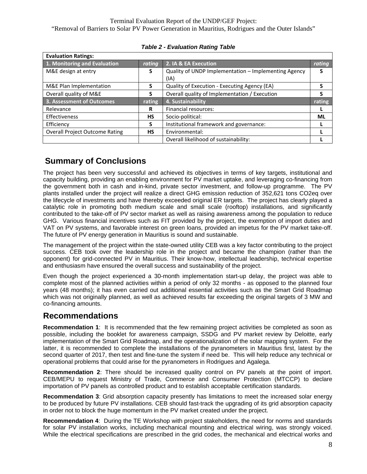| <b>Evaluation Ratings:</b>            |           |                                                      |           |
|---------------------------------------|-----------|------------------------------------------------------|-----------|
| 1. Monitoring and Evaluation          | rating    | 2. IA & EA Execution                                 | rating    |
| M&E design at entry                   | S         | Quality of UNDP Implementation - Implementing Agency | S         |
|                                       |           | (IA)                                                 |           |
| M&E Plan Implementation               | S.        | Quality of Execution - Executing Agency (EA)         |           |
| Overall quality of M&E                | S.        | Overall quality of Implementation / Execution        |           |
|                                       |           |                                                      |           |
| 3. Assessment of Outcomes             | rating    | 4. Sustainability                                    | rating    |
| Relevance                             | R         | <b>Financial resources:</b>                          |           |
| <b>Effectiveness</b>                  | <b>HS</b> | Socio-political:                                     | <b>ML</b> |
| Efficiency                            | S         | Institutional framework and governance:              |           |
| <b>Overall Project Outcome Rating</b> | <b>HS</b> | Environmental:                                       |           |

*Table 2 - Evaluation Rating Table*

### **Summary of Conclusions**

The project has been very successful and achieved its objectives in terms of key targets, institutional and capacity building, providing an enabling environment for PV market uptake, and leveraging co-financing from the government both in cash and in-kind, private sector investment, and follow-up programme. The PV plants installed under the project will realize a direct GHG emission reduction of 352,621 tons CO2eq over the lifecycle of investments and have thereby exceeded original ER targets. The project has clearly played a catalytic role in promoting both medium scale and small scale (rooftop) installations, and significantly contributed to the take-off of PV sector market as well as raising awareness among the population to reduce GHG. Various financial incentives such as FIT provided by the project, the exemption of import duties and VAT on PV systems, and favorable interest on green loans, provided an impetus for the PV market take-off. The future of PV energy generation in Mauritius is sound and sustainable.

The management of the project within the state-owned utility CEB was a key factor contributing to the project success. CEB took over the leadership role in the project and became the champion (rather than the opponent) for grid-connected PV in Mauritius. Their know-how, intellectual leadership, technical expertise and enthusiasm have ensured the overall success and sustainability of the project.

Even though the project experienced a 30-month implementation start-up delay, the project was able to complete most of the planned activities within a period of only 32 months - as opposed to the planned four years (48 months); it has even carried out additional essential activities such as the Smart Grid Roadmap which was not originally planned, as well as achieved results far exceeding the original targets of 3 MW and co-financing amounts.

#### **Recommendations**

**Recommendation 1**: It is recommended that the few remaining project activities be completed as soon as possible, including the booklet for awareness campaign, SSDG and PV market review by Deloitte, early implementation of the Smart Grid Roadmap, and the operationalization of the solar mapping system. For the latter, it is recommended to complete the installations of the pyranometers in Mauritius first, latest by the second quarter of 2017, then test and fine-tune the system if need be. This will help reduce any technical or operational problems that could arise for the pyranometers in Rodrigues and Agalega.

**Recommendation 2**: There should be increased quality control on PV panels at the point of import. CEB/MEPU to request Ministry of Trade, Commerce and Consumer Protection (MTCCP) to declare importation of PV panels as controlled product and to establish acceptable certification standards.

**Recommendation 3**: Grid absorption capacity presently has limitations to meet the increased solar energy to be produced by future PV installations. CEB should fast-track the upgrading of its grid absorption capacity in order not to block the huge momentum in the PV market created under the project.

**Recommendation 4**: During the TE Workshop with project stakeholders, the need for norms and standards for solar PV installation works, including mechanical mounting and electrical wiring, was strongly voiced. While the electrical specifications are prescribed in the grid codes, the mechanical and electrical works and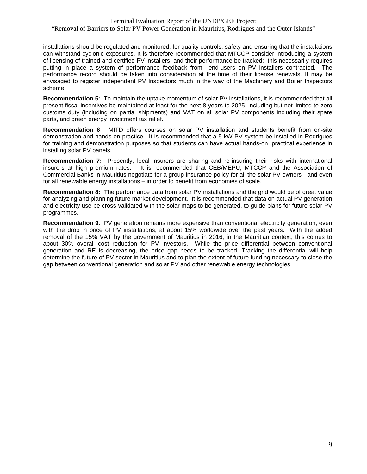installations should be regulated and monitored, for quality controls, safety and ensuring that the installations can withstand cyclonic exposures. It is therefore recommended that MTCCP consider introducing a system of licensing of trained and certified PV installers, and their performance be tracked; this necessarily requires putting in place a system of performance feedback from end-users on PV installers contracted. The performance record should be taken into consideration at the time of their license renewals. It may be envisaged to register independent PV Inspectors much in the way of the Machinery and Boiler Inspectors scheme.

**Recommendation 5:** To maintain the uptake momentum of solar PV installations, it is recommended that all present fiscal incentives be maintained at least for the next 8 years to 2025, including but not limited to zero customs duty (including on partial shipments) and VAT on all solar PV components including their spare parts, and green energy investment tax relief.

**Recommendation 6**: MITD offers courses on solar PV installation and students benefit from on-site demonstration and hands-on practice. It is recommended that a 5 kW PV system be installed in Rodrigues for training and demonstration purposes so that students can have actual hands-on, practical experience in installing solar PV panels.

**Recommendation 7:** Presently, local insurers are sharing and re-insuring their risks with international insurers at high premium rates. It is recommended that CEB/MEPU, MTCCP and the Association of It is recommended that CEB/MEPU, MTCCP and the Association of Commercial Banks in Mauritius negotiate for a group insurance policy for all the solar PV owners - and even for all renewable energy installations – in order to benefit from economies of scale.

**Recommendation 8:** The performance data from solar PV installations and the grid would be of great value for analyzing and planning future market development. It is recommended that data on actual PV generation and electricity use be cross-validated with the solar maps to be generated, to guide plans for future solar PV programmes.

**Recommendation 9**: PV generation remains more expensive than conventional electricity generation, even with the drop in price of PV installations, at about 15% worldwide over the past years. With the added removal of the 15% VAT by the government of Mauritius in 2016, in the Mauritian context, this comes to about 30% overall cost reduction for PV investors. While the price differential between conventional generation and RE is decreasing, the price gap needs to be tracked. Tracking the differential will help determine the future of PV sector in Mauritius and to plan the extent of future funding necessary to close the gap between conventional generation and solar PV and other renewable energy technologies.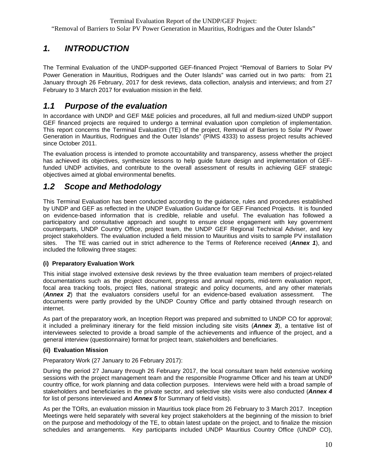## *1. INTRODUCTION*

The Terminal Evaluation of the UNDP-supported GEF-financed Project "Removal of Barriers to Solar PV Power Generation in Mauritius, Rodrigues and the Outer Islands" was carried out in two parts: from 21 January through 26 February, 2017 for desk reviews, data collection, analysis and interviews; and from 27 February to 3 March 2017 for evaluation mission in the field.

### *1.1 Purpose of the evaluation*

In accordance with UNDP and GEF M&E policies and procedures, all full and medium-sized UNDP support GEF financed projects are required to undergo a terminal evaluation upon completion of implementation. This report concerns the Terminal Evaluation (TE) of the project, Removal of Barriers to Solar PV Power Generation in Mauritius, Rodrigues and the Outer Islands" (PIMS 4333) to assess project results achieved since October 2011.

The evaluation process is intended to promote accountability and transparency, assess whether the project has achieved its objectives, synthesize lessons to help guide future design and implementation of GEFfunded UNDP activities, and contribute to the overall assessment of results in achieving GEF strategic objectives aimed at global environmental benefits.

### *1.2 Scope and Methodology*

This Terminal Evaluation has been conducted according to the guidance, rules and procedures established by UNDP and GEF as reflected in the UNDP Evaluation Guidance for GEF Financed Projects. It is founded on evidence-based information that is credible, reliable and useful. The evaluation has followed a participatory and consultative approach and sought to ensure close engagement with key government counterparts, UNDP Country Office, project team, the UNDP GEF Regional Technical Adviser, and key project stakeholders. The evaluation included a field mission to Mauritius and visits to sample PV installation sites. The TE was carried out in strict adherence to the Terms of Reference received (*Annex 1*), and included the following three stages:

#### **(i) Preparatory Evaluation Work**

This initial stage involved extensive desk reviews by the three evaluation team members of project-related documentations such as the project document, progress and annual reports, mid-term evaluation report, focal area tracking tools, project files, national strategic and policy documents, and any other materials (*Annex 2*) that the evaluators considers useful for an evidence-based evaluation assessment. The documents were partly provided by the UNDP Country Office and partly obtained through research on internet.

As part of the preparatory work, an Inception Report was prepared and submitted to UNDP CO for approval; it included a preliminary itinerary for the field mission including site visits (*Annex 3*), a tentative list of interviewees selected to provide a broad sample of the achievements and influence of the project, and a general interview (questionnaire) format for project team, stakeholders and beneficiaries.

#### **(ii) Evaluation Mission**

Preparatory Work (27 January to 26 February 2017):

During the period 27 January through 26 February 2017, the local consultant team held extensive working sessions with the project management team and the responsible Programme Officer and his team at UNDP country office, for work planning and data collection purposes. Interviews were held with a broad sample of stakeholders and beneficiaries in the private sector, and selective site visits were also conducted (*Annex 4* for list of persons interviewed and *Annex 5* for Summary of field visits).

As per the TORs, an evaluation mission in Mauritius took place from 26 February to 3 March 2017. Inception Meetings were held separately with several key project stakeholders at the beginning of the mission to brief on the purpose and methodology of the TE, to obtain latest update on the project, and to finalize the mission schedules and arrangements. Key participants included UNDP Mauritius Country Office (UNDP CO),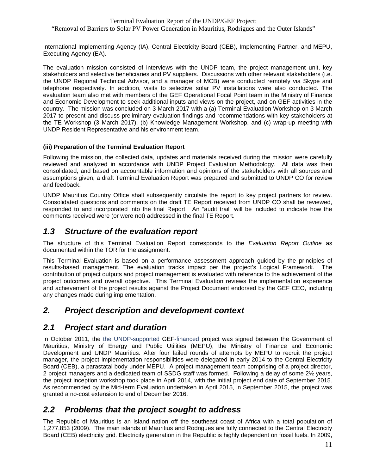International Implementing Agency (IA), Central Electricity Board (CEB), Implementing Partner, and MEPU, Executing Agency (EA).

The evaluation mission consisted of interviews with the UNDP team, the project management unit, key stakeholders and selective beneficiaries and PV suppliers. Discussions with other relevant stakeholders (i.e. the UNDP Regional Technical Advisor, and a manager of MCB) were conducted remotely via Skype and telephone respectively. In addition, visits to selective solar PV installations were also conducted. The evaluation team also met with members of the GEF Operational Focal Point team in the Ministry of Finance and Economic Development to seek additional inputs and views on the project, and on GEF activities in the country. The mission was concluded on 3 March 2017 with a (a) Terminal Evaluation Workshop on 3 March 2017 to present and discuss preliminary evaluation findings and recommendations with key stakeholders at the TE Workshop (3 March 2017), (b) Knowledge Management Workshop, and (c) wrap-up meeting with UNDP Resident Representative and his environment team.

#### **(iii) Preparation of the Terminal Evaluation Report**

Following the mission, the collected data, updates and materials received during the mission were carefully reviewed and analyzed in accordance with UNDP Project Evaluation Methodology. All data was then consolidated, and based on accountable information and opinions of the stakeholders with all sources and assumptions given, a draft Terminal Evaluation Report was prepared and submitted to UNDP CO for review and feedback.

UNDP Mauritius Country Office shall subsequently circulate the report to key project partners for review. Consolidated questions and comments on the draft TE Report received from UNDP CO shall be reviewed, responded to and incorporated into the final Report. An "audit trail" will be included to indicate how the comments received were (or were not) addressed in the final TE Report.

#### *1.3 Structure of the evaluation report*

The structure of this Terminal Evaluation Report corresponds to the *Evaluation Report Outline* as documented within the TOR for the assignment.

This Terminal Evaluation is based on a performance assessment approach guided by the principles of results-based management. The evaluation tracks impact per the project's Logical Framework. The contribution of project outputs and project management is evaluated with reference to the achievement of the project outcomes and overall objective. This Terminal Evaluation reviews the implementation experience and achievement of the project results against the Project Document endorsed by the GEF CEO, including any changes made during implementation.

#### *2. Project description and development context*

#### *2.1 Project start and duration*

In October 2011, the the UNDP-supported GEF-financed project was signed between the Government of Mauritius, Ministry of Energy and Public Utilities (MEPU), the Ministry of Finance and Economic Development and UNDP Mauritius. After four failed rounds of attempts by MEPU to recruit the project manager, the project implementation responsibilities were delegated in early 2014 to the Central Electricity Board (CEB), a parastatal body under MEPU. A project management team comprising of a project director, 2 project managers and a dedicated team of SSDG staff was formed. Following a delay of some 2½ years, the project inception workshop took place in April 2014, with the initial project end date of September 2015. As recommended by the Mid-term Evaluation undertaken in April 2015, in September 2015, the project was granted a no-cost extension to end of December 2016.

#### *2.2 Problems that the project sought to address*

The Republic of Mauritius is an island nation off the southeast coast of Africa with a total population of 1,277,853 (2009). The main islands of Mauritius and Rodrigues are fully connected to the Central Electricity Board (CEB) electricity grid. Electricity generation in the Republic is highly dependent on fossil fuels. In 2009,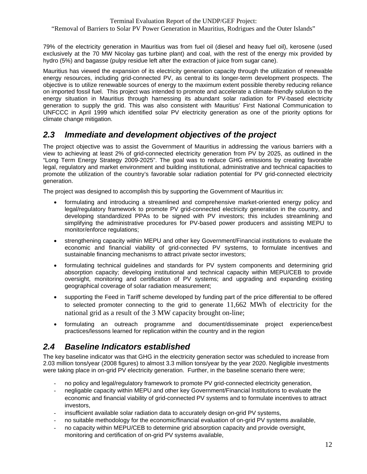"Removal of Barriers to Solar PV Power Generation in Mauritius, Rodrigues and the Outer Islands"

79% of the electricity generation in Mauritius was from fuel oil (diesel and heavy fuel oil), kerosene (used exclusively at the 70 MW Nicolay gas turbine plant) and coal, with the rest of the energy mix provided by hydro (5%) and bagasse (pulpy residue left after the extraction of juice from sugar cane).

Mauritius has viewed the expansion of its electricity generation capacity through the utilization of renewable energy resources, including grid-connected PV, as central to its longer-term development prospects. The objective is to utilize renewable sources of energy to the maximum extent possible thereby reducing reliance on imported fossil fuel. This project was intended to promote and accelerate a climate-friendly solution to the energy situation in Mauritius through harnessing its abundant solar radiation for PV-based electricity generation to supply the grid. This was also consistent with Mauritius' First National Communication to UNFCCC in April 1999 which identified solar PV electricity generation as one of the priority options for climate change mitigation.

### *2.3 Immediate and development objectives of the project*

The project objective was to assist the Government of Mauritius in addressing the various barriers with a view to achieving at least 2% of grid-connected electricity generation from PV by 2025, as outlined in the "Long Term Energy Strategy 2009-2025". The goal was to reduce GHG emissions by creating favorable legal, regulatory and market environment and building institutional, administrative and technical capacities to promote the utilization of the country's favorable solar radiation potential for PV grid-connected electricity generation.

The project was designed to accomplish this by supporting the Government of Mauritius in:

- formulating and introducing a streamlined and comprehensive market-oriented energy policy and legal/regulatory framework to promote PV grid-connected electricity generation in the country, and developing standardized PPAs to be signed with PV investors; this includes streamlining and simplifying the administrative procedures for PV-based power producers and assisting MEPU to monitor/enforce regulations;
- strengthening capacity within MEPU and other key Government/Financial institutions to evaluate the economic and financial viability of grid-connected PV systems, to formulate incentives and sustainable financing mechanisms to attract private sector investors;
- formulating technical guidelines and standards for PV system components and determining grid absorption capacity; developing institutional and technical capacity within MEPU/CEB to provide oversight, monitoring and certification of PV systems; and upgrading and expanding existing geographical coverage of solar radiation measurement;
- supporting the Feed in Tariff scheme developed by funding part of the price differential to be offered to selected promoter connecting to the grid to generate 11,662 MWh of electricity for the national grid as a result of the 3 MW capacity brought on-line;
- formulating an outreach programme and document/disseminate project experience/best practices/lessons learned for replication within the country and in the region

### *2.4 Baseline Indicators established*

The key baseline indicator was that GHG in the electricity generation sector was scheduled to increase from 2.03 million tons/year (2008 figures) to almost 3.3 million tons/year by the year 2020. Negligible investments were taking place in on-grid PV electricity generation. Further, in the baseline scenario there were;

- no policy and legal/regulatory framework to promote PV grid-connected electricity generation,
- negligable capacity within MEPU and other key Government/Financial Institutions to evaluate the economic and financial viability of grid-connected PV systems and to formulate incentives to attract investors,
- insufficient available solar radiation data to accurately design on-grid PV systems,
- no suitable methodology for the economic/financial evaluation of on-grid PV systems available,
- no capacity within MEPU/CEB to determine grid absorption capacity and provide oversight, monitoring and certification of on-grid PV systems available,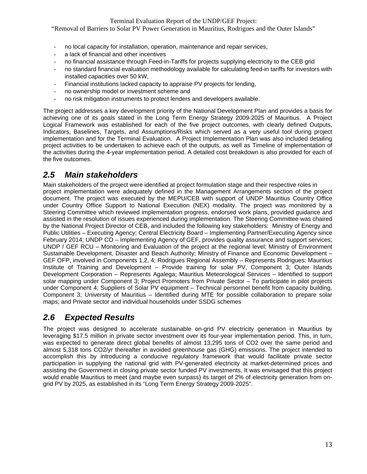"Removal of Barriers to Solar PV Power Generation in Mauritius, Rodrigues and the Outer Islands"

- no local capacity for installation, operation, maintenance and repair services,
- a lack of financial and other incentives
- no financial assistance through Feed-in-Tariffs for projects supplying electricity to the CEB grid
- no standard financial evaluation methodology available for calculating feed-in tariffs for investors with installed capacities over 50 kW,
- Financial institutions lacked capacity to appraise PV projects for lending,
- no ownership model or investment scheme and
- no risk mitigation instruments to protect lenders and developers available.

The project addresses a key development priority of the National Development Plan and provides a basis for achieving one of its goals stated in the Long Term Energy Strategy 2009-2025 of Mauritius. A Project Logical Framework was established for each of the five project outcomes, with clearly defined Outputs, Indicators, Baselines, Targets, and Assumptions/Risks which served as a very useful tool during project implementation and for the Terminal Evaluation. A Project Implementation Plan was also included detailing project activities to be undertaken to achieve each of the outputs, as well as Timeline of implementation of the activities during the 4-year implementation period. A detailed cost breakdown is also provided for each of the five outcomes.

### *2.5 Main stakeholders*

Main stakeholders of the project were identified at project formulation stage and their respective roles in project implementation were adequately defined in the Management Arrangements section of the project document. The project was executed by the MEPU/CEB with support of UNDP Mauritius Country Office under Country Office Support to National Execution (NEX) modality. The project was monitored by a Steering Committee which reviewed implementation progress, endorsed work plans, provided guidance and assisted in the resolution of issues experienced during implementation. The Steering Committee was chaired by the National Project Director of CEB, and included the following key stakeholders: Ministry of Energy and Public Utilities – Executing Agency; Central Electricity Board – Implementing Partner/Executing Agency since February 2014; UNDP CO – Implementing Agency of GEF, provides quality assurance and support services; UNDP / GEF RCU – Monitoring and Evaluation of the project at the regional level; Ministry of Environment Sustainable Development, Disaster and Beach Authority; Ministry of Finance and Economic Development – GEF OFP, involved in Components 1,2, 4; Rodrigues Regional Assembly – Represents Rodrigues; Mauritius Institute of Training and Development – Provide training for solar PV, Component 3; Outer Islands Development Corporation – Represents Agalega; Mauritius Meteorological Services – Identified to support solar mapping under Component 3; Project Promoters from Private Sector – To participate in pilot projects under Component 4; Suppliers of Solar PV equipment – Technical personnel benefit from capacity building, Component 3; University of Mauritius – Identified during MTE for possible collaboration to prepare solar maps; and Private sector and individual households under SSDG schemes

### *2.6 Expected Results*

The project was designed to accelerate sustainable on-grid PV electricity generation in Mauritius by leveraging \$17.5 million in private sector investment over its four-year implementation period. This, in turn, was expected to generate direct global benefits of almost 13,295 tons of CO2 over the same period and almost 5,318 tons CO2/yr thereafter in avoided greenhouse gas (GHG) emissions. The project intended to accomplish this by introducing a conducive regulatory framework that would facilitate private sector participation in supplying the national grid with PV-generated electricity at market-determined prices and assisting the Government in closing private sector funded PV investments. It was envisaged that this project would enable Mauritius to meet (and maybe even surpass) its target of 2% of electricity generation from ongrid PV by 2025, as established in its "Long Term Energy Strategy 2009-2025".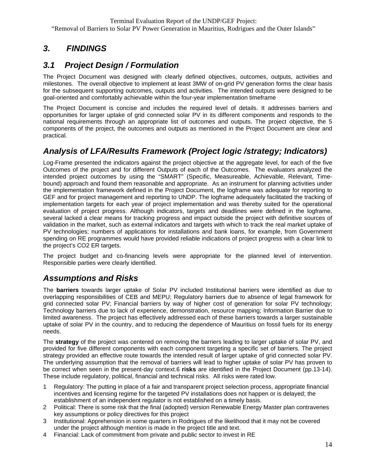## *3. FINDINGS*

### *3.1 Project Design / Formulation*

The Project Document was designed with clearly defined objectives, outcomes, outputs, activities and milestones. The overall objective to implement at least 3MW of on-grid PV generation forms the clear basis for the subsequent supporting outcomes, outputs and activities. The intended outputs were designed to be goal-oriented and comfortably achievable within the four-year implementation timeframe

The Project Document is concise and includes the required level of details. It addresses barriers and opportunities for larger uptake of grid connected solar PV in its different components and responds to the national requirements through an appropriate list of outcomes and outputs. The project objective, the 5 components of the project, the outcomes and outputs as mentioned in the Project Document are clear and practical.

### *Analysis of LFA/Results Framework (Project logic /strategy; Indicators)*

Log-Frame presented the indicators against the project objective at the aggregate level, for each of the five Outcomes of the project and for different Outputs of each of the Outcomes. The evaluators analyzed the intended project outcomes by using the "SMART" (Specific, Measureable, Achievable, Relevant, Timebound) approach and found them reasonable and appropriate. As an instrument for planning activities under the implementation framework defined in the Project Document, the logframe was adequate for reporting to GEF and for project management and reporting to UNDP. The logframe adequately facilitated the tracking of implementation targets for each year of project implementation and was thereby suited for the operational evaluation of project progress. Although indicators, targets and deadlines were defined in the logframe, several lacked a clear means for tracking progress and impact outside the project with definitive sources of validation in the market, such as external indicators and targets with which to track the real market uptake of PV technologies; numbers of applications for installations and bank loans, for example, from Government spending on RE programmes would have provided reliable indications of project progress with a clear link to the project's CO2 ER targets.

The project budget and co-financing levels were appropriate for the planned level of intervention. Responsible parties were clearly identified.

### *Assumptions and Risks*

The **barriers** towards larger uptake of Solar PV included Institutional barriers were identified as due to overlapping responsibilities of CEB and MEPU; Regulatory barriers due to absence of legal framework for grid connected solar PV; Financial barriers by way of higher cost of generation for solar PV technology; Technology barriers due to lack of experience, demonstration, resource mapping; Information Barrier due to limited awareness. The project has effectively addressed each of these barriers towards a larger sustainable uptake of solar PV in the country, and to reducing the dependence of Mauritius on fossil fuels for its energy needs.

The **strategy** of the project was centered on removing the barriers leading to larger uptake of solar PV, and provided for five different components with each component targeting a specific set of barriers. The project strategy provided an effective route towards the intended result of larger uptake of grid connected solar PV. The underlying assumption that the removal of barriers will lead to higher uptake of solar PV has proven to be correct when seen in the present-day context.6 **risks** are identified in the Project Document (pp.13-14). These include regulatory, political, financial and technical risks. All risks were rated low.

- 1 Regulatory: The putting in place of a fair and transparent project selection process, appropriate financial incentives and licensing regime for the targeted PV installations does not happen or is delayed; the establishment of an independent regulator is not established on a timely basis.
- 2 Political: There is some risk that the final (adopted) version Renewable Energy Master plan contravenes key assumptions or policy directives for this project
- 3 Institutional: Apprehension in some quarters in Rodrigues of the likelihood that it may not be covered under the project although mention is made in the project title and text.
- 4 Financial: Lack of commitment from private and public sector to invest in RE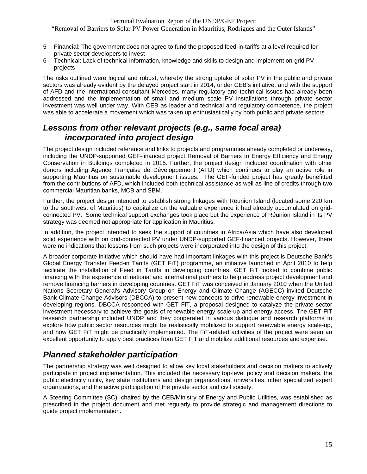"Removal of Barriers to Solar PV Power Generation in Mauritius, Rodrigues and the Outer Islands"

- 5 Financial: The government does not agree to fund the proposed feed-in-tariffs at a level required for private sector developers to invest
- 6 Technical: Lack of technical information, knowledge and skills to design and implement on-grid PV projects

The risks outlined were logical and robust, whereby the strong uptake of solar PV in the public and private sectors was already evident by the delayed project start in 2014; under CEB's initiative, and with the support of AFD and the international consultant Mercedes, many regulatory and technical issues had already been addressed and the implementation of small and medium scale PV installations through private sector investment was well under way. With CEB as leader and technical and regulatory competence, the project was able to accelerate a movement which was taken up enthusiastically by both public and private sectors

#### *Lessons from other relevant projects (e.g., same focal area) incorporated into project design*

The project design included reference and links to projects and programmes already completed or underway, including the UNDP-supported GEF-financed project Removal of Barriers to Energy Efficiency and Energy Conservation in Buildings completed in 2015. Further, the project design included coordination with other donors including Agence Française de Développement (AFD) which continues to play an active role in supporting Mauritius on sustainable development issues. The GEF-funded project has greatly benefitted from the contributions of AFD, which included both technical assistance as well as line of credits through two commercial Mauritian banks, MCB and SBM.

Further, the project design intended to establish strong linkages with Réunion Island (located some 220 km to the southwest of Mauritius) to capitalize on the valuable experience it had already accumulated on gridconnected PV. Some technical support exchanges took place but the experience of Réunion Island in its PV strategy was deemed not appropriate for application in Mauritius.

In addition, the project intended to seek the support of countries in Africa/Asia which have also developed solid experience with on grid-connected PV under UNDP-supported GEF-financed projects. However, there were no indications that lessons from such projects were incorporated into the design of this project.

A broader corporate initiative which should have had important linkages with this project is Deutsche Bank's Global Energy Transfer Feed-in Tariffs (GET FiT) programme, an initiative launched in April 2010 to help facilitate the installation of Feed in Tariffs in developing countries. GET FiT looked to combine public financing with the experience of national and international partners to help address project development and remove financing barriers in developing countries. GET FiT was conceived in January 2010 when the United Nations Secretary General's Advisory Group on Energy and Climate Change (AGECC) invited Deutsche Bank Climate Change Advisors (DBCCA) to present new concepts to drive renewable energy investment in developing regions. DBCCA responded with GET FiT, a proposal designed to catalyze the private sector investment necessary to achieve the goals of renewable energy scale-up and energy access. The GET FiT research partnership included UNDP and they cooperated in various dialogue and research platforms to explore how public sector resources might be realistically mobilized to support renewable energy scale-up, and how GET FiT might be practically implemented. The FiT-related activities of the project were seen an excellent opportunity to apply best practices from GET FiT and mobilize additional resources and expertise.

### *Planned stakeholder participation*

The partnership strategy was well designed to allow key local stakeholders and decision makers to actively participate in project implementation. This included the necessary top-level policy and decision makers, the public electricity utility, key state institutions and design organizations, universities, other specialized expert organizations, and the active participation of the private sector and civil society.

A Steering Committee (SC), chaired by the CEB/Ministry of Energy and Public Utilities, was established as prescribed in the project document and met regularly to provide strategic and management directions to guide project implementation.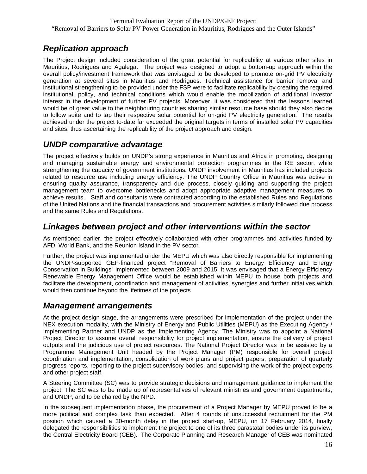### *Replication approach*

The Project design included consideration of the great potential for replicability at various other sites in Mauritius, Rodrigues and Agalega. The project was designed to adopt a bottom-up approach within the overall policy/investment framework that was envisaged to be developed to promote on-grid PV electricity generation at several sites in Mauritius and Rodrigues. Technical assistance for barrier removal and institutional strengthening to be provided under the FSP were to facilitate replicability by creating the required institutional, policy, and technical conditions which would enable the mobilization of additional investor interest in the development of further PV projects. Moreover, it was considered that the lessons learned would be of great value to the neighbouring countries sharing similar resource base should they also decide to follow suite and to tap their respective solar potential for on-grid PV electricity generation. The results achieved under the project to-date far exceeded the original targets in terms of installed solar PV capacities and sites, thus ascertaining the replicability of the project approach and design.

#### *UNDP comparative advantage*

The project effectively builds on UNDP's strong experience in Mauritius and Africa in promoting, designing and managing sustainable energy and environmental protection programmes in the RE sector, while strengthening the capacity of government institutions. UNDP involvement in Mauritius has included projects related to resource use including energy efficiency. The UNDP Country Office in Mauritius was active in ensuring quality assurance, transparency and due process, closely guiding and supporting the project management team to overcome bottlenecks and adopt appropriate adaptive management measures to achieve results. Staff and consultants were contracted according to the established Rules and Regulations of the United Nations and the financial transactions and procurement activities similarly followed due process and the same Rules and Regulations.

#### *Linkages between project and other interventions within the sector*

As mentioned earlier, the project effectively collaborated with other programmes and activities funded by AFD, World Bank, and the Reunion Island in the PV sector.

Further, the project was implemented under the MEPU which was also directly responsible for implementing the UNDP-supported GEF-financed project "Removal of Barriers to Energy Efficiency and Energy Conservation in Buildings" implemented between 2009 and 2015. It was envisaged that a Energy Efficiency Renewable Energy Management Office would be established within MEPU to house both projects and facilitate the development, coordination and management of activities, synergies and further initiatives which would then continue beyond the lifetimes of the projects.

#### *Management arrangements*

At the project design stage, the arrangements were prescribed for implementation of the project under the NEX execution modality, with the Ministry of Energy and Public Utilities (MEPU) as the Executing Agency / Implementing Partner and UNDP as the Implementing Agency. The Ministry was to appoint a National Project Director to assume overall responsibility for project implementation, ensure the delivery of project outputs and the judicious use of project resources. The National Project Director was to be assisted by a Programme Management Unit headed by the Project Manager (PM) responsible for overall project coordination and implementation, consolidation of work plans and project papers, preparation of quarterly progress reports, reporting to the project supervisory bodies, and supervising the work of the project experts and other project staff.

A Steering Committee (SC) was to provide strategic decisions and management guidance to implement the project. The SC was to be made up of representatives of relevant ministries and government departments, and UNDP, and to be chaired by the NPD.

In the subsequent implementation phase, the procurement of a Project Manager by MEPU proved to be a more political and complex task than expected. After 4 rounds of unsuccessful recruitment for the PM position which caused a 30-month delay in the project start-up, MEPU, on 17 February 2014, finally delegated the responsibilities to implement the project to one of its three parastatal bodies under its purview, the Central Electricity Board (CEB). The Corporate Planning and Research Manager of CEB was nominated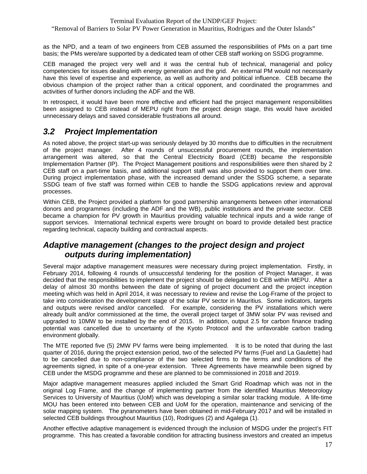"Removal of Barriers to Solar PV Power Generation in Mauritius, Rodrigues and the Outer Islands"

as the NPD, and a team of two engineers from CEB assumed the responsibilities of PMs on a part time basis; the PMs were/are supported by a dedicated team of other CEB staff working on SSDG programme.

CEB managed the project very well and it was the central hub of technical, managerial and policy competencies for issues dealing with energy generation and the grid. An external PM would not necessarily have this level of expertise and experience, as well as authority and political influence. CEB became the obvious champion of the project rather than a critical opponent, and coordinated the programmes and activities of further donors including the ADF and the WB.

In retrospect, it would have been more effective and efficient had the project management responsibilities been assigned to CEB instead of MEPU right from the project design stage, this would have avoided unnecessary delays and saved considerable frustrations all around.

#### *3.2 Project Implementation*

As noted above, the project start-up was seriously delayed by 30 months due to difficulties in the recruitment of the project manager. After 4 rounds of unsuccessful procurement rounds, the implementation arrangement was altered, so that the Central Electricity Board (CEB) became the responsible Implementation Partner (IP). The Project Management positions and responsibilities were then shared by 2 CEB staff on a part-time basis, and additional support staff was also provided to support them over time. During project implementation phase, with the increased demand under the SSDG scheme, a separate SSDG team of five staff was formed within CEB to handle the SSDG applications review and approval processes.

Within CEB, the Project provided a platform for good partnership arrangements between other international donors and programmes (including the ADF and the WB), public institutions and the private sector. CEB became a champion for PV growth in Mauritius providing valuable technical inputs and a wide range of support services. International technical experts were brought on board to provide detailed best practice regarding technical, capacity building and contractual aspects.

#### *Adaptive management (changes to the project design and project outputs during implementation)*

Several major adaptive management measures were necessary during project implementation. Firstly, in February 2014, following 4 rounds of unsuccessful tendering for the position of Project Manager, it was decided that the responsibilities to implement the project should be delegated to CEB within MEPU. After a delay of almost 30 months between the date of signing of project document and the project inception meeting which was held in April 2014, it was necessary to review and revise the Log-Frame of the project to take into consideration the development stage of the solar PV sector in Mauritius. Some indicators, targets and outputs were revised and/or cancelled. For example, considering the PV installations which were already built and/or commissioned at the time, the overall project target of 3MW solar PV was revised and upgraded to 10MW to be installed by the end of 2015. In addition, output 2.5 for carbon finance trading potential was cancelled due to uncertainty of the Kyoto Protocol and the unfavorable carbon trading environment globally.

The MTE reported five (5) 2MW PV farms were being implemented. It is to be noted that during the last quarter of 2016, during the project extension period, two of the selected PV farms (Fuel and La Gaulette) had to be cancelled due to non-compliance of the two selected firms to the terms and conditions of the agreements signed, in spite of a one-year extension. Three Agreements have meanwhile been signed by CEB under the MSDG programme and these are planned to be commissioned in 2018 and 2019.

Major adaptive management measures applied included the Smart Grid Roadmap which was not in the original Log Frame, and the change of implementing partner from the identified Mauritius Meteorology Services to University of Mauritius (UoM) which was developing a similar solar tracking module. A life-time MOU has been entered into between CEB and UoM for the operation, maintenance and servicing of the solar mapping system. The pyranometers have been obtained in mid-February 2017 and will be installed in selected CEB buildings throughout Mauritius (10), Rodrigues (2) and Agalega (1).

Another effective adaptive management is evidenced through the inclusion of MSDG under the project's FIT programme. This has created a favorable condition for attracting business investors and created an impetus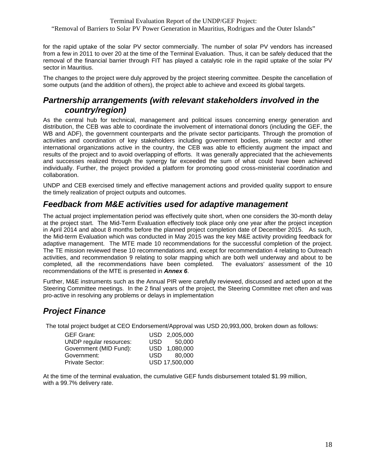for the rapid uptake of the solar PV sector commercially. The number of solar PV vendors has increased from a few in 2011 to over 20 at the time of the Terminal Evaluation. Thus, it can be safely deduced that the removal of the financial barrier through FIT has played a catalytic role in the rapid uptake of the solar PV sector in Mauritius.

The changes to the project were duly approved by the project steering committee. Despite the cancellation of some outputs (and the addition of others), the project able to achieve and exceed its global targets.

### *Partnership arrangements (with relevant stakeholders involved in the country/region)*

As the central hub for technical, management and political issues concerning energy generation and distribution, the CEB was able to coordinate the involvement of international donors (including the GEF, the WB and ADF), the government counterparts and the private sector participants. Through the promotion of activities and coordination of key stakeholders including government bodies, private sector and other international organizations active in the country, the CEB was able to efficiently augment the impact and results of the project and to avoid overlapping of efforts. It was generally appreciated that the achievements and successes realized through the synergy far exceeded the sum of what could have been achieved individually. Further, the project provided a platform for promoting good cross-ministerial coordination and collaboration.

UNDP and CEB exercised timely and effective management actions and provided quality support to ensure the timely realization of project outputs and outcomes.

#### *Feedback from M&E activities used for adaptive management*

The actual project implementation period was effectively quite short, when one considers the 30-month delay at the project start. The Mid-Term Evaluation effectively took place only one year after the project inception in April 2014 and about 8 months before the planned project completion date of December 2015. As such, the Mid-term Evaluation which was conducted in May 2015 was the key M&E activity providing feedback for adaptive management. The MTE made 10 recommendations for the successful completion of the project. The TE mission reviewed these 10 recommendations and, except for recommendation 4 relating to Outreach activities, and recommendation 9 relating to solar mapping which are both well underway and about to be completed, all the recommendations have been completed. The evaluators' assessment of the 10 recommendations of the MTE is presented in *Annex 6*.

Further, M&E instruments such as the Annual PIR were carefully reviewed, discussed and acted upon at the Steering Committee meetings. In the 2 final years of the project, the Steering Committee met often and was pro-active in resolving any problems or delays in implementation

### *Project Finance*

The total project budget at CEO Endorsement/Approval was USD 20,993,000, broken down as follows:

| <b>GEF Grant:</b>       |     | USD 2,005,000  |
|-------------------------|-----|----------------|
| UNDP regular resources: |     | USD 50,000     |
| Government (MID Fund):  |     | USD 1,080,000  |
| Government:             | USD | 80.000         |
| Private Sector:         |     | USD 17,500,000 |

At the time of the terminal evaluation, the cumulative GEF funds disbursement totaled \$1.99 million, with a 99.7% delivery rate.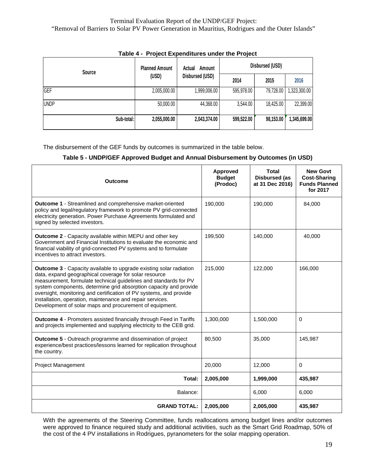| rable 4 - Froject Experienties under the Froject |                                |                  |                 |           |              |  |
|--------------------------------------------------|--------------------------------|------------------|-----------------|-----------|--------------|--|
| <b>Source</b>                                    | <b>Planned Amount</b><br>(USD) | Actual<br>Amount | Disbursed (USD) |           |              |  |
|                                                  |                                | Disbursed (USD)  | 2014            | 2015      | 2016         |  |
| GEF                                              | 2,005,000.00                   | 1,999,006.00     | 595,978.00      | 79,728.00 | 1,323,300.00 |  |
| <b>UNDP</b>                                      | 50,000.00                      | 44,368.00        | 3,544.00        | 18,425.00 | 22,399.00    |  |
| Sub-total:                                       | 2,055,000.00                   | 2,043,374.00     | 599,522.00      | 98,153.00 | 1,345,699.00 |  |

#### **Table 4 - Project Expenditures under the Project**

The disbursement of the GEF funds by outcomes is summarized in the table below.

#### **Table 5 - UNDP/GEF Approved Budget and Annual Disbursement by Outcomes (in USD)**

| <b>Outcome</b>                                                                                                                                                                                                                                                                                                                                                                                                                                                            | Approved<br><b>Budget</b><br>(Prodoc) | Total<br><b>Disbursed (as</b><br>at 31 Dec 2016) | <b>New Govt</b><br><b>Cost-Sharing</b><br><b>Funds Planned</b><br>for 2017 |
|---------------------------------------------------------------------------------------------------------------------------------------------------------------------------------------------------------------------------------------------------------------------------------------------------------------------------------------------------------------------------------------------------------------------------------------------------------------------------|---------------------------------------|--------------------------------------------------|----------------------------------------------------------------------------|
| Outcome 1 - Streamlined and comprehensive market-oriented<br>policy and legal/regulatory framework to promote PV grid-connected<br>electricity generation. Power Purchase Agreements formulated and<br>signed by selected investors.                                                                                                                                                                                                                                      | 190,000                               | 190,000                                          | 84,000                                                                     |
| <b>Outcome 2 - Capacity available within MEPU and other key</b><br>Government and Financial Institutions to evaluate the economic and<br>financial viability of grid-connected PV systems and to formulate<br>incentives to attract investors.                                                                                                                                                                                                                            | 199,500                               | 140,000                                          | 40,000                                                                     |
| <b>Outcome 3</b> - Capacity available to upgrade existing solar radiation<br>data, expand geographical coverage for solar resource<br>measurement, formulate technical guidelines and standards for PV<br>system components, determine grid absorption capacity and provide<br>oversight, monitoring and certification of PV systems, and provide<br>installation, operation, maintenance and repair services.<br>Development of solar maps and procurement of equipment. | 215,000                               | 122,000                                          | 166,000                                                                    |
| <b>Outcome 4 - Promoters assisted financially through Feed in Tariffs</b><br>and projects implemented and supplying electricity to the CEB grid.                                                                                                                                                                                                                                                                                                                          | 1,300,000                             | 1,500,000                                        | $\Omega$                                                                   |
| <b>Outcome 5 - Outreach programme and dissemination of project</b><br>experience/best practices/lessons learned for replication throughout<br>the country.                                                                                                                                                                                                                                                                                                                | 80,500                                | 35,000                                           | 145,987                                                                    |
| <b>Project Management</b>                                                                                                                                                                                                                                                                                                                                                                                                                                                 | 20,000                                | 12,000                                           | $\Omega$                                                                   |
| Total:                                                                                                                                                                                                                                                                                                                                                                                                                                                                    | 2,005,000                             | 1,999,000                                        | 435,987                                                                    |
| Balance:                                                                                                                                                                                                                                                                                                                                                                                                                                                                  |                                       | 6,000                                            | 6.000                                                                      |
| <b>GRAND TOTAL:</b>                                                                                                                                                                                                                                                                                                                                                                                                                                                       | 2,005,000                             | 2,005,000                                        | 435,987                                                                    |

With the agreements of the Steering Committee, funds reallocations among budget lines and/or outcomes were approved to finance required study and additional activities, such as the Smart Grid Roadmap, 50% of the cost of the 4 PV installations in Rodrigues, pyranometers for the solar mapping operation.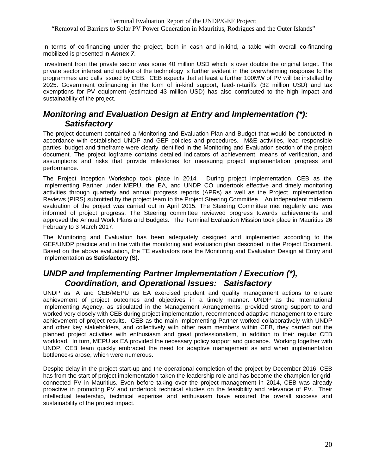"Removal of Barriers to Solar PV Power Generation in Mauritius, Rodrigues and the Outer Islands"

In terms of co-financing under the project, both in cash and in-kind, a table with overall co-financing mobilized is presented in *Annex 7*.

Investment from the private sector was some 40 million USD which is over double the original target. The private sector interest and uptake of the technology is further evident in the overwhelming response to the programmes and calls issued by CEB. CEB expects that at least a further 100MW of PV will be installed by 2025. Government cofinancing in the form of in-kind support, feed-in-tariffs (32 million USD) and tax exemptions for PV equipment (estimated 43 million USD) has also contributed to the high impact and sustainability of the project.

#### *Monitoring and Evaluation Design at Entry and Implementation (\*): Satisfactory*

The project document contained a Monitoring and Evaluation Plan and Budget that would be conducted in accordance with established UNDP and GEF policies and procedures. M&E activities, lead responsible parties, budget and timeframe were clearly identified in the Monitoring and Evaluation section of the project document. The project logframe contains detailed indicators of achievement, means of verification, and assumptions and risks that provide milestones for measuring project implementation progress and performance.

The Project Inception Workshop took place in 2014. During project implementation, CEB as the Implementing Partner under MEPU, the EA, and UNDP CO undertook effective and timely monitoring activities through quarterly and annual progress reports (APRs) as well as the Project Implementation Reviews (PIRS) submitted by the project team to the Project Steering Committee. An independent mid-term evaluation of the project was carried out in April 2015. The Steering Committee met regularly and was informed of project progress. The Steering committee reviewed progress towards achievements and approved the Annual Work Plans and Budgets. The Terminal Evaluation Mission took place in Mauritius 26 February to 3 March 2017.

The Monitoring and Evaluation has been adequately designed and implemented according to the GEF/UNDP practice and in line with the monitoring and evaluation plan described in the Project Document. Based on the above evaluation, the TE evaluators rate the Monitoring and Evaluation Design at Entry and Implementation as **Satisfactory (S).**

### *UNDP and Implementing Partner Implementation / Execution (\*), Coordination, and Operational Issues: Satisfactory*

UNDP as IA and CEB/MEPU as EA exercised prudent and quality management actions to ensure achievement of project outcomes and objectives in a timely manner. UNDP as the International Implementing Agency, as stipulated in the Management Arrangements, provided strong support to and worked very closely with CEB during project implementation, recommended adaptive management to ensure achievement of project results. CEB as the main Implementing Partner worked collaboratively with UNDP and other key stakeholders, and collectively with other team members within CEB, they carried out the planned project activities with enthusiasm and great professionalism, in addition to their regular CEB workload. In turn, MEPU as EA provided the necessary policy support and guidance. Working together with UNDP, CEB team quickly embraced the need for adaptive management as and when implementation bottlenecks arose, which were numerous.

Despite delay in the project start-up and the operational completion of the project by December 2016, CEB has from the start of project implementation taken the leadership role and has become the champion for gridconnected PV in Mauritius. Even before taking over the project management in 2014, CEB was already proactive in promoting PV and undertook technical studies on the feasibility and relevance of PV. Their intellectual leadership, technical expertise and enthusiasm have ensured the overall success and sustainability of the project impact.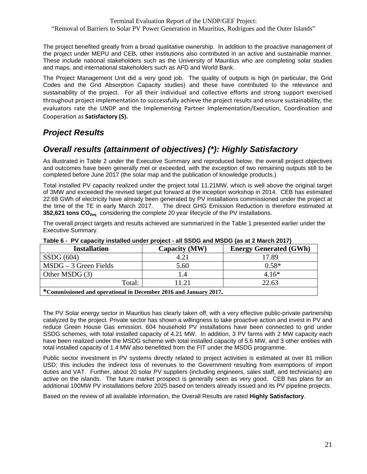The project benefited greatly from a broad qualitative ownership. In addition to the proactive management of the project under MEPU and CEB, other institutions also contributed in an active and sustainable manner. These include national stakeholders such as the University of Mauritius who are completing solar studies and maps, and international stakeholders such as AFD and World Bank.

The Project Management Unit did a very good job. The quality of outputs is high (in particular, the Grid Codes and the Grid Absorption Capacity studies) and these have contributed to the relevance and sustainability of the project. For all their individual and collective efforts and strong support exercised throughout project implementation to successfully achieve the project results and ensure sustainability, the evaluators rate the UNDP and the Implementing Partner Implementation/Execution, Coordination and Cooperation as **Satisfactory (S).**

## *Project Results*

## *Overall results (attainment of objectives) (\*): Highly Satisfactory*

As illustrated in Table 2 under the Executive Summary and reproduced below, the overall project objectives and outcomes have been generally met or exceeded, with the exception of two remaining outputs still to be completed before June 2017 (the solar map and the publication of knowledge products.)

Total installed PV capacity realized under the project total 11.21MW, which is well above the original target of 3MW and exceeded the revised target put forward at the inception workshop in 2014. CEB has estimated 22.68 GWh of electricity have already been generated by PV installations commissioned under the project at the time of the TE in early March 2017. The direct GHG Emission Reduction is therefore estimated at **352,621 tons CO<sub>2eq</sub>** considering the complete 20 year lifecycle of the PV installations.

The overall project targets and results achieved are summarized in the Table 1 presented earlier under the Executive Summary.

| <b>Installation</b>                                           | Capacity (MW) | <b>Energy Generated (GWh)</b> |
|---------------------------------------------------------------|---------------|-------------------------------|
| SSDG(604)                                                     | $4.2^{\circ}$ | 17.89                         |
| $MSDG - 3$ Green Fields                                       | 5.60          | $0.58*$                       |
| Other MSDG (3)                                                |               | $4.16*$                       |
| Total:                                                        | 1.21          | 22.63                         |
| $*Commisci and anonrotional in Decomben 2016 and Iannom 2017$ |               |                               |

#### **Table 6 - PV capacity installed under project - all SSDG and MSDG (as at 2 March 2017)**

**\*Commissioned and operational in December 2016 and January 2017.** 

The PV Solar energy sector in Mauritius has clearly taken off, with a very effective public-private partnership catalyzed by the project. Private sector has shown a willingness to take proactive action and invest in PV and reduce Green House Gas emission. 604 household PV installations have been connected to grid under SSDG schemes, with total installed capacity of 4.21 MW. In addition, 3 PV farms with 2 MW capacity each have been realized under the MSDG scheme with total installed capacity of 5.6 MW, and 3 other entities with total installed capacity of 1.4 MW also benefitted from the FIT under the MSDG programme.

Public sector investment in PV systems directly related to project activities is estimated at over 81 million USD; this includes the indirect loss of revenues to the Government resulting from exemptions of import duties and VAT. Further, about 20 solar PV suppliers (including engineers, sales staff, and technicians) are active on the islands. The future market prospect is generally seen as very good. CEB has plans for an additional 100MW PV installations before 2025 based on tenders already issued and its PV pipeline projects.

Based on the review of all available information, the Overall Results are rated **Highly Satisfactory**.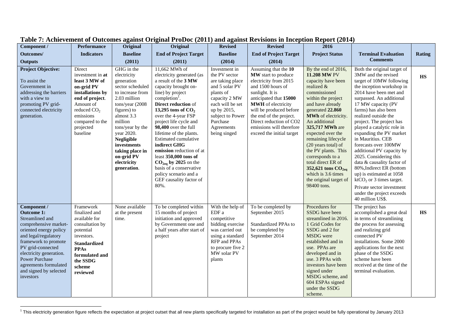| Component /                                                                                                                                                                                                                                                                                     | Performance                                                                                                                                                                                       | Original                                                                                                                                                                                                                                                                                        | Original                                                                                                                                                                                                                                                                                                                                                                                                                                                                                                     | <b>Revised</b>                                                                                                                                                                                      | <b>Revised</b>                                                                                                                                                                                                                                                                                                | 2016                                                                                                                                                                                                                                                                                                                                                                                                                                                  |                                                                                                                                                                                                                                                                                                                                                                                                                                                                                                                                                                                                                                    |                                   |
|-------------------------------------------------------------------------------------------------------------------------------------------------------------------------------------------------------------------------------------------------------------------------------------------------|---------------------------------------------------------------------------------------------------------------------------------------------------------------------------------------------------|-------------------------------------------------------------------------------------------------------------------------------------------------------------------------------------------------------------------------------------------------------------------------------------------------|--------------------------------------------------------------------------------------------------------------------------------------------------------------------------------------------------------------------------------------------------------------------------------------------------------------------------------------------------------------------------------------------------------------------------------------------------------------------------------------------------------------|-----------------------------------------------------------------------------------------------------------------------------------------------------------------------------------------------------|---------------------------------------------------------------------------------------------------------------------------------------------------------------------------------------------------------------------------------------------------------------------------------------------------------------|-------------------------------------------------------------------------------------------------------------------------------------------------------------------------------------------------------------------------------------------------------------------------------------------------------------------------------------------------------------------------------------------------------------------------------------------------------|------------------------------------------------------------------------------------------------------------------------------------------------------------------------------------------------------------------------------------------------------------------------------------------------------------------------------------------------------------------------------------------------------------------------------------------------------------------------------------------------------------------------------------------------------------------------------------------------------------------------------------|-----------------------------------|
| Outcomes/                                                                                                                                                                                                                                                                                       | <b>Indicators</b>                                                                                                                                                                                 | <b>Baseline</b>                                                                                                                                                                                                                                                                                 | <b>End of Project Target</b>                                                                                                                                                                                                                                                                                                                                                                                                                                                                                 | <b>Baseline</b>                                                                                                                                                                                     | <b>End of Project Target</b>                                                                                                                                                                                                                                                                                  | <b>Project Status</b>                                                                                                                                                                                                                                                                                                                                                                                                                                 | <b>Terminal Evaluation</b>                                                                                                                                                                                                                                                                                                                                                                                                                                                                                                                                                                                                         | <b>Rating</b>                     |
| <b>Outputs</b>                                                                                                                                                                                                                                                                                  |                                                                                                                                                                                                   | (2011)                                                                                                                                                                                                                                                                                          | (2011)                                                                                                                                                                                                                                                                                                                                                                                                                                                                                                       | (2014)                                                                                                                                                                                              | (2014)                                                                                                                                                                                                                                                                                                        |                                                                                                                                                                                                                                                                                                                                                                                                                                                       | <b>Comments</b>                                                                                                                                                                                                                                                                                                                                                                                                                                                                                                                                                                                                                    |                                   |
| <b>Project Objective:</b><br>To assist the<br>Government in<br>addressing the barriers<br>with a view to<br>promoting PV grid-<br>connected electricity<br>generation.                                                                                                                          | Direct<br>investment in at<br>least 3 MW of<br>on-grid PV<br>installations by<br>end of project.<br>Amount of<br>reduced CO <sub>2</sub><br>emissions<br>compared to the<br>projected<br>baseline | GHG in the<br>electricity<br>generation<br>sector scheduled<br>to increase from<br>2.03 million<br>tons/year (2008<br>figures) to<br>almost 3.3<br>million<br>tons/year by the<br>year 2020.<br><b>Negligible</b><br>investments<br>taking place in<br>on-grid PV<br>electricity<br>generation. | 11,662 MWh of<br>electricity generated (as<br>a result of the 3 MW<br>capacity brought on-<br>line) by project<br>completion <sup>1</sup> .<br>Direct reduction of<br>13,295 tons of $CO2$<br>over the 4-year FSP<br>project life cycle and<br>98,400 over the full<br>lifetime of the plants.<br>Estimated cumulative<br>indirect GHG<br>emission reduction of at<br>least 350,000 tons of<br>$CO2eq$ by 2025 on the<br>basis of a conservative<br>policy scenario and a<br>GEF causality factor of<br>80%. | Investment in<br>the PV sector<br>are taking place<br>and 5 solar PV<br>plants of<br>capacity 2 MW<br>each will be set<br>up by 2015,<br>subject to Power<br>Purchase<br>Agreements<br>being singed | Assuming that the 10<br>MW start to produce<br>electricity from 2015<br>and 1500 hours of<br>sunlight. It is<br>anticipated that 15000<br><b>MWH</b> of electricity<br>will be produced before<br>the end of the project.<br>Direct reduction of CO2<br>emissions will therefore<br>exceed the initial target | By the end of 2016,<br>11.208 MW PV<br>capacity have been<br>realized &<br>commissioned<br>within the project<br>and have already<br>generated 22.860<br>MWh of electricity.<br>An additional<br>325,717 MWh are<br>expected over the<br>remaining lifecycle<br>(20 years total) of<br>the PV plants. This<br>corresponds to a<br>total direct ER of<br>352,621 tons CO <sub>2eq</sub><br>which is 3.6 times<br>the original target of<br>98400 tons. | Both the original target of<br>3MW and the revised<br>target of 10MW following<br>the inception workshop in<br>2014 have been met and<br>surpassed. An additional<br>17 MW capacity (PV<br>farms) has also been<br>realized outside the<br>project. The project has<br>played a catalytic role in<br>expanding the PV market<br>in Mauritius. CEB<br>forecasts over 100MW<br>additional PV capacity by<br>2025. Considering this<br>data & causality factor of<br>80%, Indirect ER (bottom<br>up) is estimated at 1058<br>$ktCO2$ or 3 times target.<br>Private sector investment<br>under the project exceeds<br>40 million US\$. | <b>HS</b>                         |
| Component /<br><b>Outcome 1:</b><br>Streamlined and<br>comprehensive market-<br>oriented energy policy<br>and legal/regulatory<br>framework to promote<br>PV grid-connected<br>electricity generation.<br><b>Power Purchase</b><br>agreements formulated<br>and signed by selected<br>investors | Framework<br>finalized and<br>available for<br>consultation by<br>potential<br>investors.<br><b>Standardized</b><br><b>PPAs</b><br>formulated and<br>the SSDG<br>scheme<br>reviewed               | None available<br>at the present<br>time.                                                                                                                                                                                                                                                       | To be completed within<br>15 months of project<br>initiation and approved<br>by Government one and<br>a half years after start of<br>project                                                                                                                                                                                                                                                                                                                                                                 | With the help of<br>EDF a<br>competitive<br>bidding exercise<br>was carried out<br>using a standard<br>RFP and PPAs<br>to procure five 2<br>MW solar PV<br>plants                                   | To be completed by<br>September 2015<br>Standardized PPAs to<br>be completed by<br>September 2014                                                                                                                                                                                                             | Procedures for<br>SSDG have been<br>streamlined in 2016.<br>1 Grid Codes for<br>SSDG and 2 for<br><b>MSDG</b> were<br>established and in<br>use. PPAs are<br>developed and in<br>use. 3 PPAs with<br>investors have been<br>signed under<br>MSDG scheme, and<br>604 ESPAs signed<br>under the SSDG<br>scheme.                                                                                                                                         | The project has<br>accomplished a great deal<br>in terms of streamlining<br>the process for assessing<br>and realizing grid<br>connected PV<br>installations. Some 2000<br>applications for the next<br>phase of the SSDG<br>scheme have been<br>received at the time of the<br>terminal evaluation.                                                                                                                                                                                                                                                                                                                               | $\overline{\mathbf{H}}\mathbf{S}$ |

#### **Table 7: Achievement of Outcomes against Original ProDoc (2011) and against Revisions in Inception Report (2014)**

<sup>&</sup>lt;sup>1</sup> This electricity generation figure reflects the expectation at project outset that all new plants specifically targeted for installation as part of the project would be fully operational by January 2013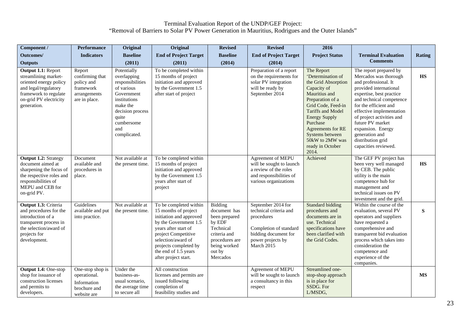| Component /                                                                                                                                                       | <b>Performance</b>                                                                    | Original                                                                                                                                                                 | Original                                                                                                                                                                                                                                         | <b>Revised</b>                                                                                                                          | <b>Revised</b>                                                                                                                                  | 2016                                                                                                                                                                                                                                                                              |                                                                                                                                                                                                                                                                                                                                                     |               |
|-------------------------------------------------------------------------------------------------------------------------------------------------------------------|---------------------------------------------------------------------------------------|--------------------------------------------------------------------------------------------------------------------------------------------------------------------------|--------------------------------------------------------------------------------------------------------------------------------------------------------------------------------------------------------------------------------------------------|-----------------------------------------------------------------------------------------------------------------------------------------|-------------------------------------------------------------------------------------------------------------------------------------------------|-----------------------------------------------------------------------------------------------------------------------------------------------------------------------------------------------------------------------------------------------------------------------------------|-----------------------------------------------------------------------------------------------------------------------------------------------------------------------------------------------------------------------------------------------------------------------------------------------------------------------------------------------------|---------------|
| Outcomes/                                                                                                                                                         | <b>Indicators</b>                                                                     | <b>Baseline</b>                                                                                                                                                          | <b>End of Project Target</b>                                                                                                                                                                                                                     | <b>Baseline</b>                                                                                                                         | <b>End of Project Target</b>                                                                                                                    | <b>Project Status</b>                                                                                                                                                                                                                                                             | <b>Terminal Evaluation</b>                                                                                                                                                                                                                                                                                                                          | <b>Rating</b> |
| <b>Outputs</b>                                                                                                                                                    |                                                                                       | (2011)                                                                                                                                                                   | (2011)                                                                                                                                                                                                                                           | (2014)                                                                                                                                  | (2014)                                                                                                                                          |                                                                                                                                                                                                                                                                                   | <b>Comments</b>                                                                                                                                                                                                                                                                                                                                     |               |
| Output 1.1: Report<br>streamlining market-<br>oriented energy policy<br>and legal/regulatory<br>framework to regulate<br>on-grid PV electricity<br>generation.    | Report<br>confirming that<br>policy and<br>framework<br>arrangements<br>are in place. | Potentially<br>overlapping<br>responsibilities<br>of various<br>Government<br>institutions<br>make the<br>decision process<br>quite<br>cumbersome<br>and<br>complicated. | To be completed within<br>15 months of project<br>initiation and approved<br>by the Government 1.5<br>after start of project                                                                                                                     |                                                                                                                                         | Preparation of a report<br>on the requirements for<br>solar PV integration<br>will be ready by<br>September 2014                                | The Report<br>'Determination of<br>the Grid Absorption<br>Capacity of<br>Mauritius and<br>Preparation of a<br>Grid Code, Feed-in<br>Tariffs and Model<br><b>Energy Supply</b><br>Purchase<br>Agreements for RE<br>Systems between<br>50kW to 2MW was<br>ready in October<br>2014. | The report prepared by<br>Mercados was thorough<br>and professional. It<br>provided international<br>expertise, best practice<br>and technical competence<br>for the efficient and<br>effective implementation<br>of project activities and<br>future PV market<br>expansion. Energy<br>generation and<br>distribution grid<br>capacities reviewed. | <b>HS</b>     |
| <b>Output 1.2: Strategy</b><br>document aimed at<br>sharpening the focus of<br>the respective roles and<br>responsibilities of<br>MEPU and CEB for<br>on-grid PV. | Document<br>available and<br>procedures in<br>place.                                  | Not available at<br>the present time.                                                                                                                                    | To be completed within<br>15 months of project<br>initiation and approved<br>by the Government 1.5<br>years after start of<br>project                                                                                                            |                                                                                                                                         | Agreement of MEPU<br>will be sought to launch<br>a review of the roles<br>and responsibilities of<br>various organizations                      | Achieved                                                                                                                                                                                                                                                                          | The GEF PV project has<br>been very well managed<br>by CEB. The public<br>utility is the main<br>competence hub for<br>management and<br>technical issues on PV<br>investment and the grid.                                                                                                                                                         | <b>HS</b>     |
| Output 1.3: Criteria<br>and procedures for the<br>introduction of a<br>transparent process in<br>the selection/award of<br>projects for<br>development.           | Guidelines<br>available and put<br>into practice.                                     | Not available at<br>the present time.                                                                                                                                    | To be completed within<br>15 months of project<br>initiation and approved<br>by the Government 1.5<br>years after start of<br>project Competitive<br>selection/award of<br>projects completed by<br>the end of 1.5 years<br>after project start. | Bidding<br>document has<br>been prepared<br>by EDF<br>Technical<br>criteria and<br>procedures are<br>being worked<br>out by<br>Mercados | September 2014 for<br>technical criteria and<br>procedures<br>Completion of standard<br>bidding document for<br>power projects by<br>March 2015 | <b>Standard bidding</b><br>procedures and<br>documents are in<br>use. Technical<br>specifications have<br>been clarified with<br>the Grid Codes.                                                                                                                                  | Within the course of the<br>evaluation, several PV<br>operators and suppliers<br>have requested a<br>comprehensive and<br>transparent bid evaluation<br>process which takes into<br>consideration the<br>competence and<br>experience of the<br>companies.                                                                                          | ${\bf S}$     |
| <b>Output 1.4: One-stop</b><br>shop for issuance of<br>construction licenses<br>and permits to<br>developers.                                                     | One-stop shop is<br>operational.<br>Information<br>brochure and<br>website are        | Under the<br>business-as-<br>usual scenario,<br>the average time<br>to secure all                                                                                        | All construction<br>licenses and permits are<br>issued following<br>completion of<br>feasibility studies and                                                                                                                                     |                                                                                                                                         | Agreement of MEPU<br>will be sought to launch<br>a consultancy in this<br>respect                                                               | Streamlined one-<br>stop-shop approach<br>is in place for<br>SSDG. For<br>L/MSDG,                                                                                                                                                                                                 |                                                                                                                                                                                                                                                                                                                                                     | <b>MS</b>     |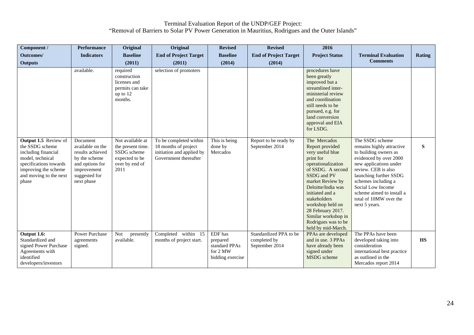| Component /                                                                                                                                                                    | <b>Performance</b>                                                                                                                               | Original                                                                                                                                                                                | Original                                                                                                                       | <b>Revised</b>                                                       | <b>Revised</b>                                           | 2016                                                                                                                                                                                                                                                                                                                                                                                                                                                                                                                                    |                                                                                                                                                                                                                                                                                                |           |
|--------------------------------------------------------------------------------------------------------------------------------------------------------------------------------|--------------------------------------------------------------------------------------------------------------------------------------------------|-----------------------------------------------------------------------------------------------------------------------------------------------------------------------------------------|--------------------------------------------------------------------------------------------------------------------------------|----------------------------------------------------------------------|----------------------------------------------------------|-----------------------------------------------------------------------------------------------------------------------------------------------------------------------------------------------------------------------------------------------------------------------------------------------------------------------------------------------------------------------------------------------------------------------------------------------------------------------------------------------------------------------------------------|------------------------------------------------------------------------------------------------------------------------------------------------------------------------------------------------------------------------------------------------------------------------------------------------|-----------|
| Outcomes/                                                                                                                                                                      | <b>Indicators</b>                                                                                                                                | <b>Baseline</b>                                                                                                                                                                         | <b>End of Project Target</b>                                                                                                   | <b>Baseline</b>                                                      | <b>End of Project Target</b>                             | <b>Project Status</b>                                                                                                                                                                                                                                                                                                                                                                                                                                                                                                                   | <b>Terminal Evaluation</b>                                                                                                                                                                                                                                                                     | Rating    |
| <b>Outputs</b>                                                                                                                                                                 |                                                                                                                                                  | (2011)                                                                                                                                                                                  | (2011)                                                                                                                         | (2014)                                                               | (2014)                                                   |                                                                                                                                                                                                                                                                                                                                                                                                                                                                                                                                         | <b>Comments</b>                                                                                                                                                                                                                                                                                |           |
| <b>Output 1.5</b> Review of<br>the SSDG scheme<br>including financial<br>model, technical<br>specifications towards<br>improving the scheme<br>and moving to the next<br>phase | available.<br>Document<br>available on the<br>results achieved<br>by the scheme<br>and options for<br>improvement<br>suggested for<br>next phase | required<br>construction<br>licenses and<br>permits can take<br>up to 12<br>months.<br>Not available at<br>the present time.<br>SSDG scheme<br>expected to be<br>over by end of<br>2011 | selection of promoters<br>To be completed within<br>18 months of project<br>initiation and applied by<br>Government thereafter | This is being<br>done by<br>Mercados                                 | Report to be ready by<br>September 2014                  | procedures have<br>been greatly<br>improved but a<br>streamlined inter-<br>ministerial review<br>and coordination<br>still needs to be<br>pursued, e.g. for<br>land conversion<br>approval and EIA<br>for LSDG.<br>The Mercados<br>Report provided<br>very useful blue<br>print for<br>operationalization<br>of SSDG. A second<br>SSDG and PV<br>market Review by<br>Deloitte/India was<br>initiated and a<br>stakeholders<br>workshop held on<br>28 February 2017.<br>Similar workshop in<br>Rodrigues was to be<br>held by mid-March. | The SSDG scheme<br>remains highly attractive<br>to building owners as<br>evidenced by over 2000<br>new applications under<br>review. CEB is also<br>launching further SSDG<br>schemes including a<br>Social Low Income<br>scheme aimed to install a<br>total of 10MW over the<br>next 5 years. | ${\bf S}$ |
| Output 1.6:<br>Standardized and<br>signed Power Purchase<br>Agreements with<br>identified<br>developers/investors                                                              | <b>Power Purchase</b><br>agreements<br>signed.                                                                                                   | <b>Not</b><br>presently<br>available.                                                                                                                                                   | Completed within 15<br>months of project start.                                                                                | EDF has<br>prepared<br>standard PPAs<br>for 2 MW<br>bidding exercise | Standardized PPA to be<br>completed by<br>September 2014 | PPAs are developed<br>and in use, 3 PPAs<br>have already been<br>signed under<br>MSDG scheme                                                                                                                                                                                                                                                                                                                                                                                                                                            | The PPAs have been<br>developed taking into<br>consideration<br>international best practice<br>as outlined in the<br>Mercados report 2014                                                                                                                                                      | <b>HS</b> |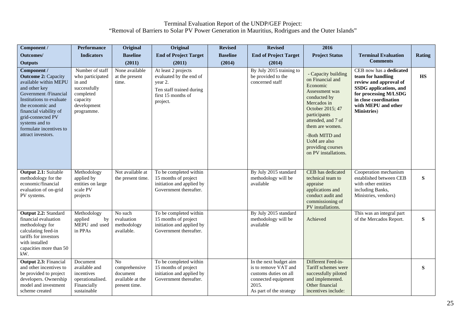| Component /                                                                                                                                                                                                                                                                    | <b>Performance</b>                                                                                                  | Original                                                             | Original                                                                                                                | <b>Revised</b>  | <b>Revised</b>                                                                                                                     | 2016                                                                                                                                                                                                                                                             |                                                                                                                                                                                                  |           |
|--------------------------------------------------------------------------------------------------------------------------------------------------------------------------------------------------------------------------------------------------------------------------------|---------------------------------------------------------------------------------------------------------------------|----------------------------------------------------------------------|-------------------------------------------------------------------------------------------------------------------------|-----------------|------------------------------------------------------------------------------------------------------------------------------------|------------------------------------------------------------------------------------------------------------------------------------------------------------------------------------------------------------------------------------------------------------------|--------------------------------------------------------------------------------------------------------------------------------------------------------------------------------------------------|-----------|
| Outcomes/                                                                                                                                                                                                                                                                      | <b>Indicators</b>                                                                                                   | <b>Baseline</b>                                                      | <b>End of Project Target</b>                                                                                            | <b>Baseline</b> | <b>End of Project Target</b>                                                                                                       | <b>Project Status</b>                                                                                                                                                                                                                                            | <b>Terminal Evaluation</b>                                                                                                                                                                       | Rating    |
| <b>Outputs</b>                                                                                                                                                                                                                                                                 |                                                                                                                     | (2011)                                                               | (2011)                                                                                                                  | (2014)          | (2014)                                                                                                                             |                                                                                                                                                                                                                                                                  | <b>Comments</b>                                                                                                                                                                                  |           |
| Component /<br><b>Outcome 2: Capacity</b><br>available within MEPU<br>and other key<br>Government /Financial<br>Institutions to evaluate<br>the economic and<br>financial viability of<br>grid-connected PV<br>systems and to<br>formulate incentives to<br>attract investors. | Number of staff<br>who participated<br>in and<br>successfully<br>completed<br>capacity<br>development<br>programme. | None available<br>at the present<br>time.                            | At least 2 projects<br>evaluated by the end of<br>year 2.<br>Ten staff trained during<br>first 15 months of<br>project. |                 | By July 2015 training to<br>be provided to the<br>concerned staff                                                                  | - Capacity building<br>on Financial and<br>Economic<br>Assessment was<br>conducted by<br>Mercados in<br>October 2015; 47<br>participants<br>attended, and 7 of<br>them are women.<br>-Both MITD and<br>UoM are also<br>providing courses<br>on PV installations. | CEB now has a dedicated<br>team for handling<br>review and approval of<br>SSDG applications, and<br>for processing M/LSDG<br>in close coordination<br>with MEPU and other<br><b>Ministries</b> ) | <b>HS</b> |
| <b>Output 2.1: Suitable</b><br>methodology for the<br>economic/financial<br>evaluation of on-grid<br>PV systems.                                                                                                                                                               | Methodology<br>applied by<br>entities on large<br>scale PV<br>projects                                              | Not available at<br>the present time.                                | To be completed within<br>15 months of project<br>initiation and applied by<br>Government thereafter.                   |                 | By July 2015 standard<br>methodology will be<br>available                                                                          | CEB has dedicated<br>technical team to<br>appraise<br>applications and<br>conduct audit and<br>commissioning of<br>PV installations.                                                                                                                             | Cooperation mechanism<br>established between CEB<br>with other entities<br>including Banks,<br>Ministries, vendors)                                                                              | ${\bf S}$ |
| Output 2.2: Standard<br>financial evaluation<br>methodology for<br>calculating feed-in<br>tariffs for investors<br>with installed<br>capacities more than 50<br>kW.                                                                                                            | Methodology<br>applied<br>by<br>MEPU and used<br>in PPAs                                                            | No such<br>evaluation<br>methodology<br>available.                   | To be completed within<br>15 months of project<br>initiation and applied by<br>Government thereafter.                   |                 | By July 2015 standard<br>methodology will be<br>available                                                                          | Achieved                                                                                                                                                                                                                                                         | This was an integral part<br>of the Mercados Report.                                                                                                                                             | ${\bf S}$ |
| Output 2.3: Financial<br>and other incentives to<br>be provided to project<br>developers. Ownership<br>model and investment<br>scheme created                                                                                                                                  | Document<br>available and<br>incentives<br>operationalised.<br>Financially<br>sustainable                           | No<br>comprehensive<br>document<br>available at the<br>present time. | To be completed within<br>15 months of project<br>initiation and applied by<br>Government thereafter.                   |                 | In the next budget aim<br>is to remove VAT and<br>customs duties on all<br>connected equipment<br>2015.<br>As part of the strategy | Different Feed-in-<br>Tariff schemes were<br>successfully piloted<br>and implemented.<br>Other financial<br>incentives include:                                                                                                                                  |                                                                                                                                                                                                  | S         |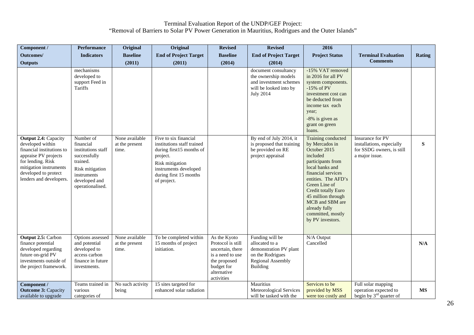| Component /                                                                                                                                                                                            | <b>Performance</b>                                                                                                                              | Original                                  | Original                                                                                                                                                                         | <b>Revised</b>                                                                                                                       | <b>Revised</b>                                                                                                          | 2016                                                                                                                                                                                                                                                                                             |                                                                                              |           |
|--------------------------------------------------------------------------------------------------------------------------------------------------------------------------------------------------------|-------------------------------------------------------------------------------------------------------------------------------------------------|-------------------------------------------|----------------------------------------------------------------------------------------------------------------------------------------------------------------------------------|--------------------------------------------------------------------------------------------------------------------------------------|-------------------------------------------------------------------------------------------------------------------------|--------------------------------------------------------------------------------------------------------------------------------------------------------------------------------------------------------------------------------------------------------------------------------------------------|----------------------------------------------------------------------------------------------|-----------|
| Outcomes/                                                                                                                                                                                              | <b>Indicators</b>                                                                                                                               | <b>Baseline</b>                           | <b>End of Project Target</b>                                                                                                                                                     | <b>Baseline</b>                                                                                                                      | <b>End of Project Target</b>                                                                                            | <b>Project Status</b>                                                                                                                                                                                                                                                                            | <b>Terminal Evaluation</b>                                                                   | Rating    |
| <b>Outputs</b>                                                                                                                                                                                         |                                                                                                                                                 | (2011)                                    | (2011)                                                                                                                                                                           | (2014)                                                                                                                               | (2014)                                                                                                                  |                                                                                                                                                                                                                                                                                                  | <b>Comments</b>                                                                              |           |
|                                                                                                                                                                                                        | mechanisms<br>developed to<br>support Feed in<br>Tariffs                                                                                        |                                           |                                                                                                                                                                                  |                                                                                                                                      | document consultancy<br>the ownership models<br>and investment schemes<br>will be looked into by<br><b>July 2014</b>    | -15% VAT removed<br>in 2016 for all PV<br>system components.<br>$-15\%$ of PV<br>investment cost can<br>be deducted from<br>income tax each<br>year;<br>-8% is given as<br>grant on green<br>loans.                                                                                              |                                                                                              |           |
| <b>Output 2.4: Capacity</b><br>developed within<br>financial institutions to<br>appraise PV projects<br>for lending. Risk<br>mitigation instruments<br>developed to protect<br>lenders and developers. | Number of<br>financial<br>institutions staff<br>successfully<br>trained.<br>Risk mitigation<br>instruments<br>developed and<br>operationalised. | None available<br>at the present<br>time. | Five to six financial<br>institutions staff trained<br>during first15 months of<br>project.<br>Risk mitigation<br>instruments developed<br>during first 15 months<br>of project. |                                                                                                                                      | By end of July 2014, it<br>is proposed that training<br>be provided on RE<br>project appraisal                          | Training conducted<br>by Mercados in<br>October 2015<br>included<br>participants from<br>local banks and<br>financial services<br>entities. The AFD's<br>Green Line of<br>Credit totally Euro<br>45 million through<br>MCB and SBM are<br>already fully<br>committed, mostly<br>by PV investors. | Insurance for PV<br>installations, especially<br>for SSDG owners, is still<br>a major issue. | ${\bf S}$ |
| <b>Output 2.5: Carbon</b><br>finance potential<br>developed regarding<br>future on-grid PV<br>investments outside of<br>the project framework.                                                         | Options assessed<br>and potential<br>developed to<br>access carbon<br>finance in future<br>investments.                                         | None available<br>at the present<br>time. | To be completed within<br>15 months of project<br>initiation.                                                                                                                    | As the Kyoto<br>Protocol is still<br>uncertain, there<br>is a need to use<br>the proposed<br>budget for<br>alternative<br>activities | Funding will be<br>allocated to a<br>demonstration PV plant<br>on the Rodrigues<br><b>Regional Assembly</b><br>Building | N/A Output<br>Cancelled                                                                                                                                                                                                                                                                          |                                                                                              | N/A       |
| Component /<br><b>Outcome 3: Capacity</b><br>available to upgrade                                                                                                                                      | Teams trained in<br>various<br>categories of                                                                                                    | No such activity<br>being                 | 15 sites targeted for<br>enhanced solar radiation                                                                                                                                |                                                                                                                                      | Mauritius<br>Meteorological Services<br>will be tasked with the                                                         | Services to be<br>provided by MSS<br>were too costly and                                                                                                                                                                                                                                         | Full solar mapping<br>operation expected to<br>begin by $3rd$ quarter of                     | <b>MS</b> |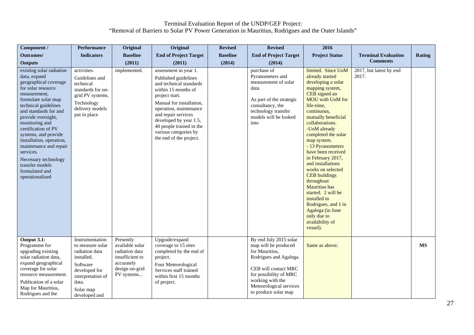| Component /                                                                                                                                                                                                                                                                                                                                                                                                               | <b>Performance</b>                                                                                                                                           | Original                                                                                                        | Original                                                                                                                                                                                                                                                                                                 | <b>Revised</b>  | <b>Revised</b>                                                                                                                                                                                                      | 2016                                                                                                                                                                                                                                                                                                                                                                                                                                                                                                                                                    |                                  |               |
|---------------------------------------------------------------------------------------------------------------------------------------------------------------------------------------------------------------------------------------------------------------------------------------------------------------------------------------------------------------------------------------------------------------------------|--------------------------------------------------------------------------------------------------------------------------------------------------------------|-----------------------------------------------------------------------------------------------------------------|----------------------------------------------------------------------------------------------------------------------------------------------------------------------------------------------------------------------------------------------------------------------------------------------------------|-----------------|---------------------------------------------------------------------------------------------------------------------------------------------------------------------------------------------------------------------|---------------------------------------------------------------------------------------------------------------------------------------------------------------------------------------------------------------------------------------------------------------------------------------------------------------------------------------------------------------------------------------------------------------------------------------------------------------------------------------------------------------------------------------------------------|----------------------------------|---------------|
| Outcomes/                                                                                                                                                                                                                                                                                                                                                                                                                 | <b>Indicators</b>                                                                                                                                            | <b>Baseline</b>                                                                                                 | <b>End of Project Target</b>                                                                                                                                                                                                                                                                             | <b>Baseline</b> | <b>End of Project Target</b>                                                                                                                                                                                        | <b>Project Status</b>                                                                                                                                                                                                                                                                                                                                                                                                                                                                                                                                   | <b>Terminal Evaluation</b>       | <b>Rating</b> |
| <b>Outputs</b>                                                                                                                                                                                                                                                                                                                                                                                                            |                                                                                                                                                              | (2011)                                                                                                          | (2011)                                                                                                                                                                                                                                                                                                   | (2014)          | (2014)                                                                                                                                                                                                              |                                                                                                                                                                                                                                                                                                                                                                                                                                                                                                                                                         | <b>Comments</b>                  |               |
| existing solar radiation<br>data, expand<br>geographical coverage<br>for solar resource<br>measurement,<br>formulate solar map<br>technical guidelines<br>and standards for and<br>provide oversight,<br>monitoring and<br>certification of PV<br>systems, and provide<br>installation, operation,<br>maintenance and repair<br>services.<br>Necessary technology<br>transfer models<br>formulated and<br>operationalised | activities.<br>Guidelines and<br>technical<br>standards for on-<br>grid PV systems.<br>Technology<br>delivery models<br>put in place                         | implemented.                                                                                                    | assessment in year 1.<br>Published guidelines<br>and technical standards<br>within 15 months of<br>project start.<br>Manual for installation,<br>operation, maintenance<br>and repair services<br>developed by year 1.5,<br>40 people trained in the<br>various categories by<br>the end of the project. |                 | purchase of<br>Pyranometers and<br>measurement of solar<br>data.<br>As part of the strategic<br>consultancy, the<br>technology transfer<br>models will be looked<br>into                                            | limited. Since UoM<br>already started<br>developing a solar<br>mapping system,<br>CEB signed an<br>MOU with UoM for<br>life-time,<br>continuous,<br>mutually beneficial<br>collaborations.<br>-UoM already<br>completed the solar<br>map system.<br>- 13 Pyranometers<br>have been received<br>in February 2017,<br>and installations<br>works on selected<br><b>CEB</b> buildings<br>throughout<br><b>Mauritius</b> has<br>started. 2 will be<br>installed in<br>Rodrigues, and 1 in<br>Agalega (in June<br>only due to<br>availability of<br>vessel). | 2017, but latest by end<br>2017. |               |
| Output 3.1:<br>Programme for<br>upgrading existing<br>solar radiation data,<br>expand geographical<br>coverage for solar<br>resource measurement.<br>Publication of a solar<br>Map for Mauritius,<br>Rodrigues and the                                                                                                                                                                                                    | Instrumentation<br>to measure solar<br>radiation data<br>installed.<br>Software<br>developed for<br>interpretation of<br>data.<br>Solar map<br>developed and | Presently<br>available solar<br>radiation data<br>insufficient to<br>accurately<br>design on-grid<br>PV systems | Upgrade/expand<br>coverage to 15 sites<br>completed by the end of<br>project.<br>Four Meteorological<br>Services staff trained<br>within first 15 months<br>of project.                                                                                                                                  |                 | By end July 2015 solar<br>map will be produced<br>for Mauritius.<br>Rodrigues and Agalega.<br>CEB will contact MRC<br>for possibility of MRC<br>working with the<br>Meteorological services<br>to produce solar map | Same as above.                                                                                                                                                                                                                                                                                                                                                                                                                                                                                                                                          |                                  | <b>MS</b>     |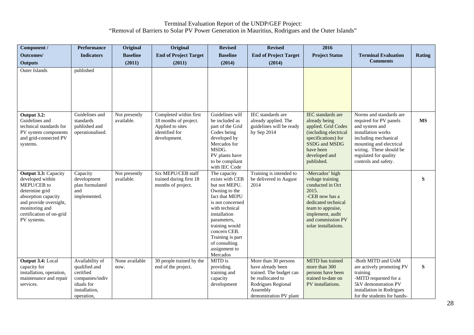| Component /                                                                                                                                                                                    | <b>Performance</b>                                                                                            | Original                    | Original                                                                                              | <b>Revised</b>                                                                                                                                                                                                                                               | <b>Revised</b>                                                                                                                                        | 2016                                                                                                                                                                                            |                                                                                                                                                                                                                          |               |
|------------------------------------------------------------------------------------------------------------------------------------------------------------------------------------------------|---------------------------------------------------------------------------------------------------------------|-----------------------------|-------------------------------------------------------------------------------------------------------|--------------------------------------------------------------------------------------------------------------------------------------------------------------------------------------------------------------------------------------------------------------|-------------------------------------------------------------------------------------------------------------------------------------------------------|-------------------------------------------------------------------------------------------------------------------------------------------------------------------------------------------------|--------------------------------------------------------------------------------------------------------------------------------------------------------------------------------------------------------------------------|---------------|
| Outcomes/                                                                                                                                                                                      | <b>Indicators</b>                                                                                             | <b>Baseline</b>             | <b>End of Project Target</b>                                                                          | <b>Baseline</b>                                                                                                                                                                                                                                              | <b>End of Project Target</b>                                                                                                                          | <b>Project Status</b>                                                                                                                                                                           | <b>Terminal Evaluation</b>                                                                                                                                                                                               | <b>Rating</b> |
| <b>Outputs</b>                                                                                                                                                                                 |                                                                                                               | (2011)                      | (2011)                                                                                                | (2014)                                                                                                                                                                                                                                                       | (2014)                                                                                                                                                |                                                                                                                                                                                                 | <b>Comments</b>                                                                                                                                                                                                          |               |
| <b>Outer Islands</b>                                                                                                                                                                           | published                                                                                                     |                             |                                                                                                       |                                                                                                                                                                                                                                                              |                                                                                                                                                       |                                                                                                                                                                                                 |                                                                                                                                                                                                                          |               |
| Output 3.2:<br>Guidelines and<br>technical standards for<br>PV system components<br>and grid-connected PV<br>systems.                                                                          | Guidelines and<br>standards<br>published and<br>operationalised.                                              | Not presently<br>available. | Completed within first<br>18 months of project.<br>Applied to sites<br>identified for<br>development. | Guidelines will<br>be included as<br>part of the Grid<br>Codes being<br>developed by<br>Mercados for<br>MSDG.<br>PV plants have<br>to be compliant<br>with IEC Code                                                                                          | IEC standards are<br>already applied. The<br>guidelines will be ready<br>by Sep 2014                                                                  | <b>IEC</b> standards are<br>already being<br>applied. Grid Codes<br>(including electrical<br>specifications) for<br>SSDG and MSDG<br>have been<br>developed and<br>published.                   | Norms and standards are<br>required for PV panels<br>and system and<br>installation works<br>including mechanical<br>mounting and electrical<br>wiring. These should be<br>regulated for quality<br>controls and safety. | <b>MS</b>     |
| <b>Output 3.3: Capacity</b><br>developed within<br>MEPU/CEB to<br>determine grid<br>absorption capacity<br>and provide oversight,<br>monitoring and<br>certification of on-grid<br>PV systems. | Capacity<br>development<br>plan formulated<br>and<br>implemented.                                             | Not presently<br>available. | Six MEPU/CEB staff<br>trained during first 18<br>months of project.                                   | The capacity<br>exists with CEB<br>but not MEPU.<br>Owning to the<br>fact that MEPU<br>is not concerned<br>with technical<br>installation<br>parameters,<br>training would<br>concern CEB.<br>Training is part<br>of consulting<br>assignment to<br>Mercados | Training is intended to<br>be delivered in August<br>2014                                                                                             | -Mercados' high<br>voltage training<br>conducted in Oct<br>2015.<br>-CEB now has a<br>dedicated technical<br>team to appraise,<br>implement, audit<br>and commission PV<br>solar installations. |                                                                                                                                                                                                                          | ${\bf S}$     |
| Output 3.4: Local<br>capacity for<br>installation, operation,<br>maintenance and repair<br>services.                                                                                           | Availability of<br>qualified and<br>certified<br>companies/indiv<br>iduals for<br>installation,<br>operation. | None available<br>now.      | 30 people trained by the<br>end of the project.                                                       | MITD is<br>providing<br>training and<br>capacity<br>development                                                                                                                                                                                              | More than 30 persons<br>have already been<br>trained. The budget can<br>be reallocated to<br>Rodrigues Regional<br>Assembly<br>demonstration PV plant | MITD has trained<br>more than 300<br>persons have been<br>trained to-date on<br>PV installations.                                                                                               | -Both MITD and UoM<br>are actively promoting PV<br>training<br>-MITD requested for a<br>5kV demonstration PV<br>installation in Rodrigues<br>for the students for hands-                                                 | ${\bf S}$     |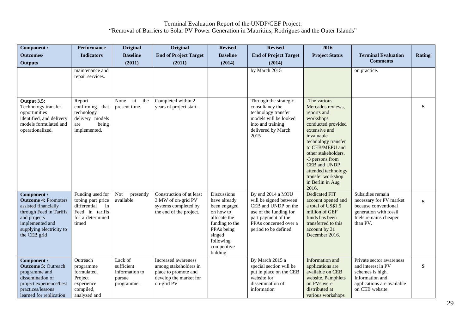| Component /                                                                                                                                                                  | <b>Performance</b>                                                                                          | Original                                                        | Original                                                                                                     | <b>Revised</b>                                                                                                                                            | <b>Revised</b>                                                                                                                                                       | 2016                                                                                                                                                                                                                                                                                            |                                                                                                                                        |               |
|------------------------------------------------------------------------------------------------------------------------------------------------------------------------------|-------------------------------------------------------------------------------------------------------------|-----------------------------------------------------------------|--------------------------------------------------------------------------------------------------------------|-----------------------------------------------------------------------------------------------------------------------------------------------------------|----------------------------------------------------------------------------------------------------------------------------------------------------------------------|-------------------------------------------------------------------------------------------------------------------------------------------------------------------------------------------------------------------------------------------------------------------------------------------------|----------------------------------------------------------------------------------------------------------------------------------------|---------------|
| Outcomes/                                                                                                                                                                    | <b>Indicators</b>                                                                                           | <b>Baseline</b>                                                 | <b>End of Project Target</b>                                                                                 | <b>Baseline</b>                                                                                                                                           | <b>End of Project Target</b>                                                                                                                                         | <b>Project Status</b>                                                                                                                                                                                                                                                                           | <b>Terminal Evaluation</b>                                                                                                             | <b>Rating</b> |
| <b>Outputs</b>                                                                                                                                                               |                                                                                                             | (2011)                                                          | (2011)                                                                                                       | (2014)                                                                                                                                                    | (2014)                                                                                                                                                               |                                                                                                                                                                                                                                                                                                 | <b>Comments</b>                                                                                                                        |               |
|                                                                                                                                                                              | maintenance and<br>repair services.                                                                         |                                                                 |                                                                                                              |                                                                                                                                                           | by March 2015                                                                                                                                                        |                                                                                                                                                                                                                                                                                                 | on practice.                                                                                                                           |               |
| Output $3.5$ :<br>Technology transfer<br>opportunities<br>identified, and delivery<br>models formulated and<br>operationalized.                                              | Report<br>confirming that<br>technology<br>delivery models<br>being<br>are<br>implemented.                  | None<br>at<br>the<br>present time.                              | Completed within 2<br>years of project start.                                                                |                                                                                                                                                           | Through the strategic<br>consultancy the<br>technology transfer<br>models will be looked<br>into and training<br>delivered by March<br>2015                          | -The various<br>Mercados reviews,<br>reports and<br>workshops<br>conducted provided<br>extensive and<br>invaluable<br>technology transfer<br>to CEB/MEPU and<br>other stakeholders.<br>-3 persons from<br>CEB and UNDP<br>attended technology<br>transfer workshop<br>in Berlin in Aug<br>2016. |                                                                                                                                        | S             |
| Component /<br><b>Outcome 4: Promoters</b><br>assisted financially<br>through Feed in Tariffs<br>and projects<br>implemented and<br>supplying electricity to<br>the CEB grid | Funding used for<br>toping part price<br>differential<br>in<br>Feed in tariffs<br>for a determined<br>timed | <b>Not</b><br>presently<br>available.                           | Construction of at least<br>3 MW of on-grid PV<br>systems completed by<br>the end of the project.            | Discussions<br>have already<br>been engaged<br>on how to<br>allocate the<br>funding to the<br>PPAs being<br>singed<br>following<br>competitive<br>bidding | By end 2014 a MOU<br>will be signed between<br>CEB and UNDP on the<br>use of the funding for<br>part payment of the<br>PPAs concerned over a<br>period to be defined | <b>Dedicated FIT</b><br>account opened and<br>a total of US\$1.5<br>million of GEF<br>funds has been<br>transferred to this<br>account by 31<br>December 2016.                                                                                                                                  | Subsidies remain<br>necessary for PV market<br>because conventional<br>generation with fossil<br>fuels remains cheaper<br>than PV.     | S             |
| Component /<br><b>Outcome 5: Outreach</b><br>programme and<br>dissemination of<br>project experience/best<br>practices/lessons<br>learned for replication                    | Outreach<br>programme<br>formulated.<br>Project<br>experience<br>compiled,<br>analyzed and                  | Lack of<br>sufficient<br>information to<br>pursue<br>programme. | Increased awareness<br>among stakeholders in<br>place to promote and<br>develop the market for<br>on-grid PV |                                                                                                                                                           | By March 2015 a<br>special section will be<br>put in place on the CEB<br>website for<br>dissemination of<br>information                                              | Information and<br>applications are<br>available on CEB<br>website. Pamphlets<br>on PVs were<br>distributed at<br>various workshops                                                                                                                                                             | Private sector awareness<br>and interest in PV<br>schemes is high.<br>Information and<br>applications are available<br>on CEB website. | S             |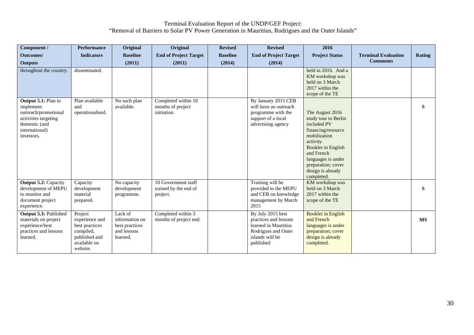| Component /                                                                                                                       | <b>Performance</b>                                                                                    | Original                                                               | Original                                                 | <b>Revised</b>  | <b>Revised</b>                                                                                                            | 2016                                                                                                                                                                                                                         |                            |               |
|-----------------------------------------------------------------------------------------------------------------------------------|-------------------------------------------------------------------------------------------------------|------------------------------------------------------------------------|----------------------------------------------------------|-----------------|---------------------------------------------------------------------------------------------------------------------------|------------------------------------------------------------------------------------------------------------------------------------------------------------------------------------------------------------------------------|----------------------------|---------------|
| <b>Outcomes/</b>                                                                                                                  | <b>Indicators</b>                                                                                     | <b>Baseline</b>                                                        | <b>End of Project Target</b>                             | <b>Baseline</b> | <b>End of Project Target</b>                                                                                              | <b>Project Status</b>                                                                                                                                                                                                        | <b>Terminal Evaluation</b> | <b>Rating</b> |
| <b>Outputs</b>                                                                                                                    |                                                                                                       | (2011)                                                                 | (2011)                                                   | (2014)          | (2014)                                                                                                                    |                                                                                                                                                                                                                              | <b>Comments</b>            |               |
| throughout the country.                                                                                                           | disseminated.                                                                                         |                                                                        |                                                          |                 |                                                                                                                           | held in 2016. And a<br>KM workshop was<br>held on 3 March<br>2017 within the<br>scope of the TE                                                                                                                              |                            |               |
| Output 5.1: Plan to<br>implement<br>outreach/promotional<br>activities targeting<br>domestic (and<br>international)<br>investors. | Plan available<br>and<br>operationalised.                                                             | No such plan<br>available.                                             | Completed within 10<br>months of project<br>initiation.  |                 | By January 2015 CEB<br>will have an outreach<br>programme with the<br>support of a local<br>advertising agency            | The August 2016<br>study tour to Berlin<br>included PV<br>financing/resource<br>mobilization<br>activity.<br>Booklet in English<br>and French<br>languages is under<br>preparation; cover<br>design is already<br>completed. |                            | $\mathbf{s}$  |
| <b>Output 5.2: Capacity</b><br>development of MEPU<br>to monitor and<br>document project<br>experience.                           | Capacity<br>development<br>material<br>prepared.                                                      | No capacity<br>development<br>programme.                               | 10 Government staff<br>trained by the end of<br>project. |                 | Training will be<br>provided to the MEPU<br>and CEB on knowledge<br>management by March<br>2015                           | KM workshop was<br>held on 3 March<br>2017 within the<br>scope of the TE                                                                                                                                                     |                            | S             |
| Output 5.3: Published<br>materials on project<br>experience/best<br>practices and lessons<br>learned.                             | Project<br>experience and<br>best practices<br>compiled,<br>published and<br>available on<br>website. | Lack of<br>information on<br>best practices<br>and lessons<br>learned. | Completed within 3<br>months of project end.             |                 | By July 2015 best<br>practices and lessons<br>learned in Mauritius<br>Rodrigues and Outer<br>islands will be<br>published | <b>Booklet in English</b><br>and French<br>languages is under<br>preparation; cover<br>design is already<br>completed.                                                                                                       |                            | <b>MS</b>     |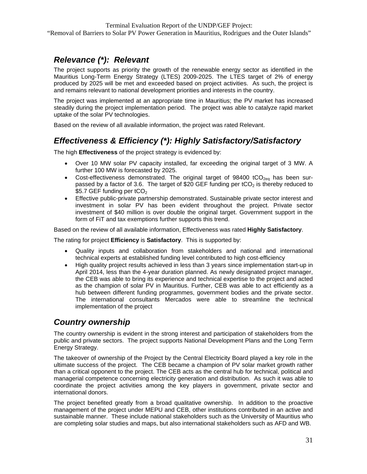### *Relevance (\*): Relevant*

The project supports as priority the growth of the renewable energy sector as identified in the Mauritius Long-Term Energy Strategy (LTES) 2009-2025. The LTES target of 2% of energy produced by 2025 will be met and exceeded based on project activities. As such, the project is and remains relevant to national development priorities and interests in the country.

The project was implemented at an appropriate time in Mauritius; the PV market has increased steadily during the project implementation period. The project was able to catalyze rapid market uptake of the solar PV technologies.

Based on the review of all available information, the project was rated Relevant.

### *Effectiveness & Efficiency (\*): Highly Satisfactory/Satisfactory*

The high **Effectiveness** of the project strategy is evidenced by:

- Over 10 MW solar PV capacity installed, far exceeding the original target of 3 MW. A further 100 MW is forecasted by 2025.
- Cost-effectiveness demonstrated. The original target of  $98400$  tCO<sub>2eq</sub> has been surpassed by a factor of 3.6. The target of \$20 GEF funding per  $tCO<sub>2</sub>$  is thereby reduced to \$5.7 GEF funding per  $tCO<sub>2</sub>$
- Effective public-private partnership demonstrated. Sustainable private sector interest and investment in solar PV has been evident throughout the project. Private sector investment of \$40 million is over double the original target. Government support in the form of FiT and tax exemptions further supports this trend.

Based on the review of all available information, Effectiveness was rated **Highly Satisfactory**.

The rating for project **Efficiency** is **Satisfactory**. This is supported by:

- Quality inputs and collaboration from stakeholders and national and international technical experts at established funding level contributed to high cost-efficiency
- High quality project results achieved in less than 3 years since implementation start-up in April 2014, less than the 4-year duration planned. As newly designated project manager, the CEB was able to bring its experience and technical expertise to the project and acted as the champion of solar PV in Mauritius. Further, CEB was able to act efficiently as a hub between different funding programmes, government bodies and the private sector. The international consultants Mercados were able to streamline the technical implementation of the project

#### *Country ownership*

The country ownership is evident in the strong interest and participation of stakeholders from the public and private sectors. The project supports National Development Plans and the Long Term Energy Strategy.

The takeover of ownership of the Project by the Central Electricity Board played a key role in the ultimate success of the project. The CEB became a champion of PV solar market growth rather than a critical opponent to the project. The CEB acts as the central hub for technical, political and managerial competence concerning electricity generation and distribution. As such it was able to coordinate the project activities among the key players in government, private sector and international donors.

The project benefited greatly from a broad qualitative ownership. In addition to the proactive management of the project under MEPU and CEB, other institutions contributed in an active and sustainable manner. These include national stakeholders such as the University of Mauritius who are completing solar studies and maps, but also international stakeholders such as AFD and WB.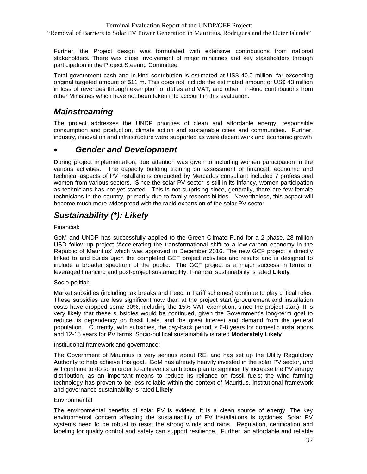"Removal of Barriers to Solar PV Power Generation in Mauritius, Rodrigues and the Outer Islands"

Further, the Project design was formulated with extensive contributions from national stakeholders. There was close involvement of major ministries and key stakeholders through participation in the Project Steering Committee.

Total government cash and in-kind contribution is estimated at US\$ 40.0 million, far exceeding original targeted amount of \$11 m. This does not include the estimated amount of US\$ 43 million in loss of revenues through exemption of duties and VAT, and other in-kind contributions from other Ministries which have not been taken into account in this evaluation.

#### *Mainstreaming*

The project addresses the UNDP priorities of clean and affordable energy, responsible consumption and production, climate action and sustainable cities and communities. Further, industry, innovation and infrastructure were supported as were decent work and economic growth

#### • *Gender and Development*

During project implementation, due attention was given to including women participation in the various activities. The capacity building training on assessment of financial, economic and technical aspects of PV installations conducted by Mercados consultant included 7 professional women from various sectors. Since the solar PV sector is still in its infancy, women participation as technicians has not yet started. This is not surprising since, generally, there are few female technicians in the country, primarily due to family responsibilities. Nevertheless, this aspect will become much more widespread with the rapid expansion of the solar PV sector.

### *Sustainability (\*): Likely*

Financial:

GoM and UNDP has successfully applied to the Green Climate Fund for a 2-phase, 28 million USD follow-up project 'Accelerating the transformational shift to a low-carbon economy in the Republic of Mauritius' which was approved in December 2016. The new GCF project is directly linked to and builds upon the completed GEF project activities and results and is designed to include a broader spectrum of the public. The GCF project is a major success in terms of leveraged financing and post-project sustainability. Financial sustainability is rated **Likely**

Socio-politial:

Market subsidies (including tax breaks and Feed in Tariff schemes) continue to play critical roles. These subsidies are less significant now than at the project start (procurement and installation costs have dropped some 30%, including the 15% VAT exemption, since the project start). It is very likely that these subsidies would be continued, given the Government's long-term goal to reduce its dependency on fossil fuels, and the great interest and demand from the general population. Currently, with subsidies, the pay-back period is 6-8 years for domestic installations and 12-15 years for PV farms. Socio-political sustainability is rated **Moderately Likely**

Institutional framework and governance:

The Government of Mauritius is very serious about RE, and has set up the Utility Regulatory Authority to help achieve this goal. GoM has already heavily invested in the solar PV sector, and will continue to do so in order to achieve its ambitious plan to significantly increase the PV energy distribution, as an important means to reduce its reliance on fossil fuels; the wind farming technology has proven to be less reliable within the context of Mauritius. Institutional framework and governance sustainability is rated **Likely**

#### **Environmental**

The environmental benefits of solar PV is evident. It is a clean source of energy. The key environmental concern affecting the sustainability of PV installations is cyclones. Solar PV systems need to be robust to resist the strong winds and rains. Regulation, certification and labeling for quality control and safety can support resilience. Further, an affordable and reliable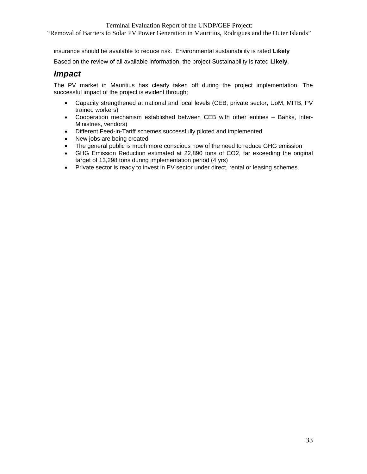"Removal of Barriers to Solar PV Power Generation in Mauritius, Rodrigues and the Outer Islands"

insurance should be available to reduce risk. Environmental sustainability is rated **Likely**

Based on the review of all available information, the project Sustainability is rated **Likely**.

#### *Impact*

The PV market in Mauritius has clearly taken off during the project implementation. The successful impact of the project is evident through;

- Capacity strengthened at national and local levels (CEB, private sector, UoM, MITB, PV trained workers)
- Cooperation mechanism established between CEB with other entities Banks, inter-Ministries, vendors)
- Different Feed-in-Tariff schemes successfully piloted and implemented
- New jobs are being created
- The general public is much more conscious now of the need to reduce GHG emission
- GHG Emission Reduction estimated at 22,890 tons of CO2, far exceeding the original target of 13,298 tons during implementation period (4 yrs)
- Private sector is ready to invest in PV sector under direct, rental or leasing schemes.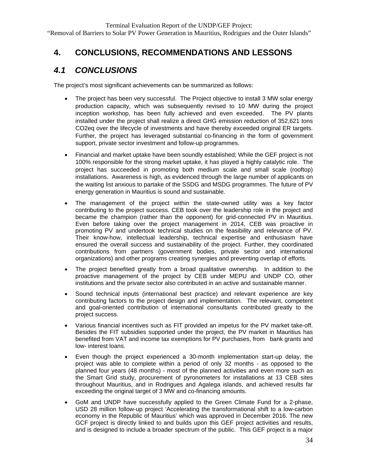### **4. CONCLUSIONS, RECOMMENDATIONS AND LESSONS**

#### *4.1 CONCLUSIONS*

The project's most significant achievements can be summarized as follows:

- The project has been very successful. The Project objective to install 3 MW solar energy production capacity, which was subsequently revised to 10 MW during the project inception workshop, has been fully achieved and even exceeded. The PV plants installed under the project shall realize a direct GHG emission reduction of 352,621 tons CO2eq over the lifecycle of investments and have thereby exceeded original ER targets. Further, the project has leveraged substantial co-financing in the form of government support, private sector investment and follow-up programmes.
- Financial and market uptake have been soundly established; While the GEF project is not 100% responsible for the strong market uptake, it has played a highly catalytic role. The project has succeeded in promoting both medium scale and small scale (rooftop) installations. Awareness is high, as evidenced through the large number of applicants on the waiting list anxious to partake of the SSDG and MSDG programmes. The future of PV energy generation in Mauritius is sound and sustainable.
- The management of the project within the state-owned utility was a key factor contributing to the project success. CEB took over the leadership role in the project and became the champion (rather than the opponent) for grid-connected PV in Mauritius. Even before taking over the project management in 2014, CEB was proactive in promoting PV and undertook technical studies on the feasibility and relevance of PV. Their know-how, intellectual leadership, technical expertise and enthusiasm have ensured the overall success and sustainability of the project. Further, they coordinated contributions from partners (government bodies, private sector and international organizations) and other programs creating synergies and preventing overlap of efforts.
- The project benefited greatly from a broad qualitative ownership. In addition to the proactive management of the project by CEB under MEPU and UNDP CO, other institutions and the private sector also contributed in an active and sustainable manner.
- Sound technical inputs (international best practice) and relevant experience are key contributing factors to the project design and implementation. The relevant, competent and goal-oriented contribution of international consultants contributed greatly to the project success.
- Various financial incentives such as FIT provided an impetus for the PV market take-off. Besides the FIT subsidies supported under the project, the PV market in Mauritius has benefited from VAT and income tax exemptions for PV purchases, from bank grants and low- interest loans.
- Even though the project experienced a 30-month implementation start-up delay, the project was able to complete within a period of only 32 months - as opposed to the planned four years (48 months) - most of the planned activities and even more such as the Smart Grid study, procurement of pyronometers for installations at 13 CEB sites throughout Mauritius, and in Rodrigues and Agalega islands, and achieved results far exceeding the original target of 3 MW and co-financing amounts.
- GoM and UNDP have successfully applied to the Green Climate Fund for a 2-phase, USD 28 million follow-up project 'Accelerating the transformational shift to a low-carbon economy in the Republic of Mauritius' which was approved in December 2016. The new GCF project is directly linked to and builds upon this GEF project activities and results, and is designed to include a broader spectrum of the public. This GEF project is a major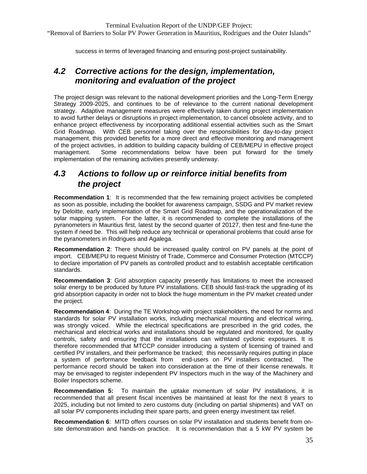success in terms of leveraged financing and ensuring post-project sustainability.

### *4.2 Corrective actions for the design, implementation, monitoring and evaluation of the project*

The project design was relevant to the national development priorities and the Long-Term Energy Strategy 2009-2025, and continues to be of relevance to the current national development strategy. Adaptive management measures were effectively taken during project implementation to avoid further delays or disruptions in project implementation, to cancel obsolete activity, and to enhance project effectiveness by incorporating additional essential activities such as the Smart Grid Roadmap. With CEB personnel taking over the responsibilities for day-to-day project management, this provided benefits for a more direct and effective monitoring and management of the project activities, in addition to building capacity building of CEB/MEPU in effective project management. Some recommendations below have been put forward for the timely implementation of the remaining activities presently underway.

### *4.3 Actions to follow up or reinforce initial benefits from the project*

**Recommendation 1**: It is recommended that the few remaining project activities be completed as soon as possible, including the booklet for awareness campaign, SSDG and PV market review by Deloitte, early implementation of the Smart Grid Roadmap, and the operationalization of the solar mapping system. For the latter, it is recommended to complete the installations of the pyranometers in Mauritius first, latest by the second quarter of 20127, then test and fine-tune the system if need be. This will help reduce any technical or operational problems that could arise for the pyranometers in Rodrigues and Agalega.

**Recommendation 2**: There should be increased quality control on PV panels at the point of import. CEB/MEPU to request Ministry of Trade, Commerce and Consumer Protection (MTCCP) to declare importation of PV panels as controlled product and to establish acceptable certification standards.

**Recommendation 3**: Grid absorption capacity presently has limitations to meet the increased solar energy to be produced by future PV installations. CEB should fast-track the upgrading of its grid absorption capacity in order not to block the huge momentum in the PV market created under the project.

**Recommendation 4**: During the TE Workshop with project stakeholders, the need for norms and standards for solar PV installation works, including mechanical mounting and electrical wiring, was strongly voiced. While the electrical specifications are prescribed in the grid codes, the mechanical and electrical works and installations should be regulated and monitored, for quality controls, safety and ensuring that the installations can withstand cyclonic exposures. It is therefore recommended that MTCCP consider introducing a system of licensing of trained and certified PV installers, and their performance be tracked; this necessarily requires putting in place a system of performance feedback from end-users on PV installers contracted. The performance record should be taken into consideration at the time of their license renewals. It may be envisaged to register independent PV Inspectors much in the way of the Machinery and Boiler Inspectors scheme.

**Recommendation 5:** To maintain the uptake momentum of solar PV installations, it is recommended that all present fiscal incentives be maintained at least for the next 8 years to 2025, including but not limited to zero customs duty (including on partial shipments) and VAT on all solar PV components including their spare parts, and green energy investment tax relief.

**Recommendation 6**: MITD offers courses on solar PV installation and students benefit from onsite demonstration and hands-on practice. It is recommendation that a 5 kW PV system be